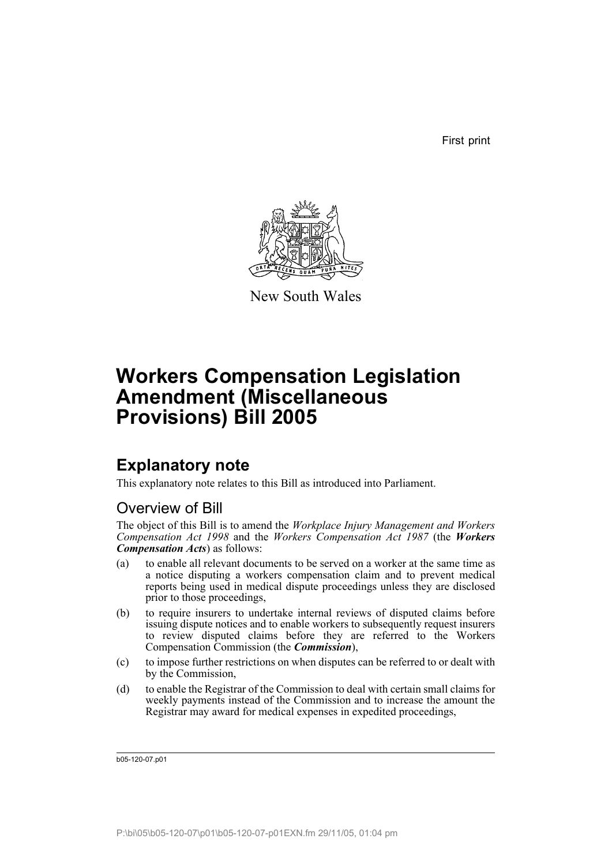First print



New South Wales

# **Workers Compensation Legislation Amendment (Miscellaneous Provisions) Bill 2005**

# **Explanatory note**

This explanatory note relates to this Bill as introduced into Parliament.

# Overview of Bill

The object of this Bill is to amend the *Workplace Injury Management and Workers Compensation Act 1998* and the *Workers Compensation Act 1987* (the *Workers Compensation Acts*) as follows:

- (a) to enable all relevant documents to be served on a worker at the same time as a notice disputing a workers compensation claim and to prevent medical reports being used in medical dispute proceedings unless they are disclosed prior to those proceedings,
- (b) to require insurers to undertake internal reviews of disputed claims before issuing dispute notices and to enable workers to subsequently request insurers to review disputed claims before they are referred to the Workers Compensation Commission (the *Commission*),
- (c) to impose further restrictions on when disputes can be referred to or dealt with by the Commission,
- (d) to enable the Registrar of the Commission to deal with certain small claims for weekly payments instead of the Commission and to increase the amount the Registrar may award for medical expenses in expedited proceedings,

b05-120-07.p01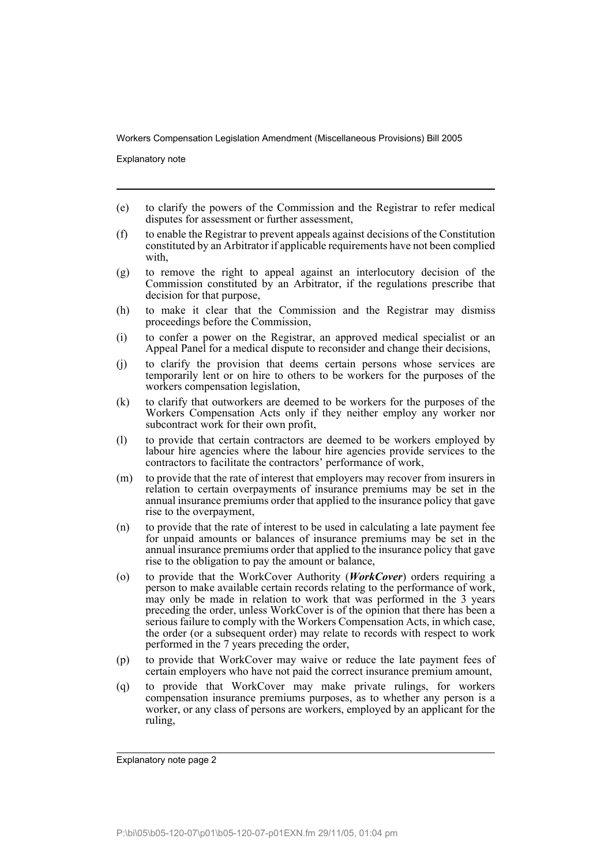Explanatory note

- (e) to clarify the powers of the Commission and the Registrar to refer medical disputes for assessment or further assessment,
- (f) to enable the Registrar to prevent appeals against decisions of the Constitution constituted by an Arbitrator if applicable requirements have not been complied with,
- (g) to remove the right to appeal against an interlocutory decision of the Commission constituted by an Arbitrator, if the regulations prescribe that decision for that purpose,
- (h) to make it clear that the Commission and the Registrar may dismiss proceedings before the Commission,
- (i) to confer a power on the Registrar, an approved medical specialist or an Appeal Panel for a medical dispute to reconsider and change their decisions,
- (j) to clarify the provision that deems certain persons whose services are temporarily lent or on hire to others to be workers for the purposes of the workers compensation legislation,
- (k) to clarify that outworkers are deemed to be workers for the purposes of the Workers Compensation Acts only if they neither employ any worker nor subcontract work for their own profit,
- (l) to provide that certain contractors are deemed to be workers employed by labour hire agencies where the labour hire agencies provide services to the contractors to facilitate the contractors' performance of work,
- (m) to provide that the rate of interest that employers may recover from insurers in relation to certain overpayments of insurance premiums may be set in the annual insurance premiums order that applied to the insurance policy that gave rise to the overpayment,
- (n) to provide that the rate of interest to be used in calculating a late payment fee for unpaid amounts or balances of insurance premiums may be set in the annual insurance premiums order that applied to the insurance policy that gave rise to the obligation to pay the amount or balance,
- (o) to provide that the WorkCover Authority (*WorkCover*) orders requiring a person to make available certain records relating to the performance of work, may only be made in relation to work that was performed in the 3 years preceding the order, unless WorkCover is of the opinion that there has been a serious failure to comply with the Workers Compensation Acts, in which case, the order (or a subsequent order) may relate to records with respect to work performed in the 7 years preceding the order,
- (p) to provide that WorkCover may waive or reduce the late payment fees of certain employers who have not paid the correct insurance premium amount,
- (q) to provide that WorkCover may make private rulings, for workers compensation insurance premiums purposes, as to whether any person is a worker, or any class of persons are workers, employed by an applicant for the ruling,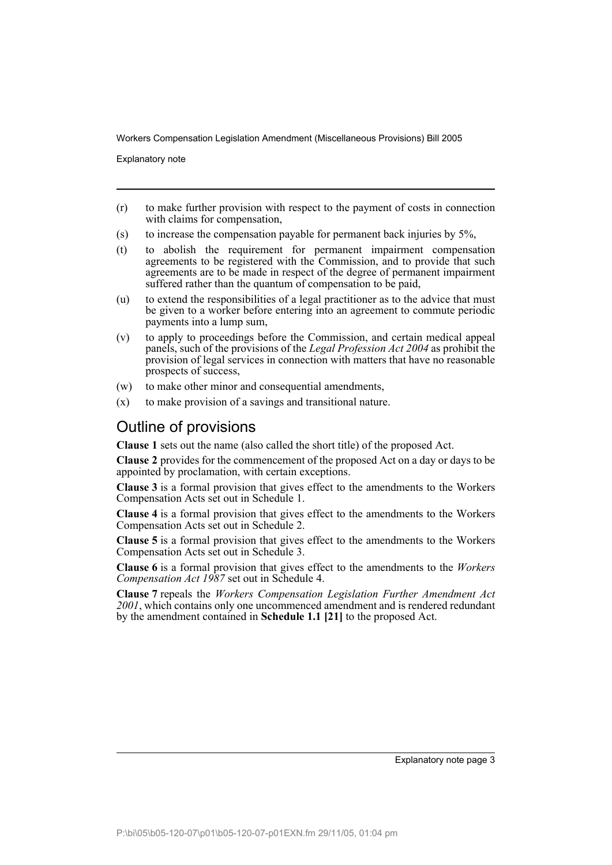Explanatory note

- (r) to make further provision with respect to the payment of costs in connection with claims for compensation,
- (s) to increase the compensation payable for permanent back injuries by 5%,
- (t) to abolish the requirement for permanent impairment compensation agreements to be registered with the Commission, and to provide that such agreements are to be made in respect of the degree of permanent impairment suffered rather than the quantum of compensation to be paid,
- (u) to extend the responsibilities of a legal practitioner as to the advice that must be given to a worker before entering into an agreement to commute periodic payments into a lump sum,
- (v) to apply to proceedings before the Commission, and certain medical appeal panels, such of the provisions of the *Legal Profession Act 2004* as prohibit the provision of legal services in connection with matters that have no reasonable prospects of success,
- (w) to make other minor and consequential amendments,
- (x) to make provision of a savings and transitional nature.

# Outline of provisions

**Clause 1** sets out the name (also called the short title) of the proposed Act.

**Clause 2** provides for the commencement of the proposed Act on a day or days to be appointed by proclamation, with certain exceptions.

**Clause 3** is a formal provision that gives effect to the amendments to the Workers Compensation Acts set out in Schedule 1.

**Clause 4** is a formal provision that gives effect to the amendments to the Workers Compensation Acts set out in Schedule 2.

**Clause 5** is a formal provision that gives effect to the amendments to the Workers Compensation Acts set out in Schedule 3.

**Clause 6** is a formal provision that gives effect to the amendments to the *Workers Compensation Act 1987* set out in Schedule 4.

**Clause 7** repeals the *Workers Compensation Legislation Further Amendment Act 2001*, which contains only one uncommenced amendment and is rendered redundant by the amendment contained in **Schedule 1.1 [21]** to the proposed Act.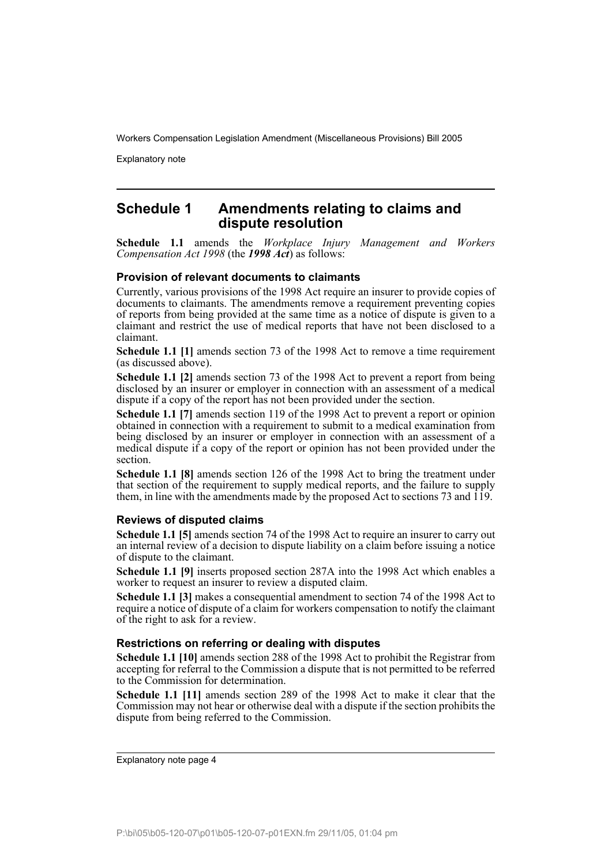Explanatory note

# **Schedule 1 Amendments relating to claims and dispute resolution**

**Schedule 1.1** amends the *Workplace Injury Management and Workers Compensation Act 1998* (the *1998 Act*) as follows:

### **Provision of relevant documents to claimants**

Currently, various provisions of the 1998 Act require an insurer to provide copies of documents to claimants. The amendments remove a requirement preventing copies of reports from being provided at the same time as a notice of dispute is given to a claimant and restrict the use of medical reports that have not been disclosed to a claimant.

**Schedule 1.1 [1]** amends section 73 of the 1998 Act to remove a time requirement (as discussed above).

**Schedule 1.1 [2]** amends section 73 of the 1998 Act to prevent a report from being disclosed by an insurer or employer in connection with an assessment of a medical dispute if a copy of the report has not been provided under the section.

**Schedule 1.1 [7]** amends section 119 of the 1998 Act to prevent a report or opinion obtained in connection with a requirement to submit to a medical examination from being disclosed by an insurer or employer in connection with an assessment of a medical dispute if a copy of the report or opinion has not been provided under the section.

**Schedule 1.1 [8]** amends section 126 of the 1998 Act to bring the treatment under that section of the requirement to supply medical reports, and the failure to supply them, in line with the amendments made by the proposed Act to sections 73 and 119.

### **Reviews of disputed claims**

**Schedule 1.1 [5]** amends section 74 of the 1998 Act to require an insurer to carry out an internal review of a decision to dispute liability on a claim before issuing a notice of dispute to the claimant.

**Schedule 1.1 [9]** inserts proposed section 287A into the 1998 Act which enables a worker to request an insurer to review a disputed claim.

**Schedule 1.1 [3]** makes a consequential amendment to section 74 of the 1998 Act to require a notice of dispute of a claim for workers compensation to notify the claimant of the right to ask for a review.

### **Restrictions on referring or dealing with disputes**

**Schedule 1.1 [10]** amends section 288 of the 1998 Act to prohibit the Registrar from accepting for referral to the Commission a dispute that is not permitted to be referred to the Commission for determination.

**Schedule 1.1 [11]** amends section 289 of the 1998 Act to make it clear that the Commission may not hear or otherwise deal with a dispute if the section prohibits the dispute from being referred to the Commission.

Explanatory note page 4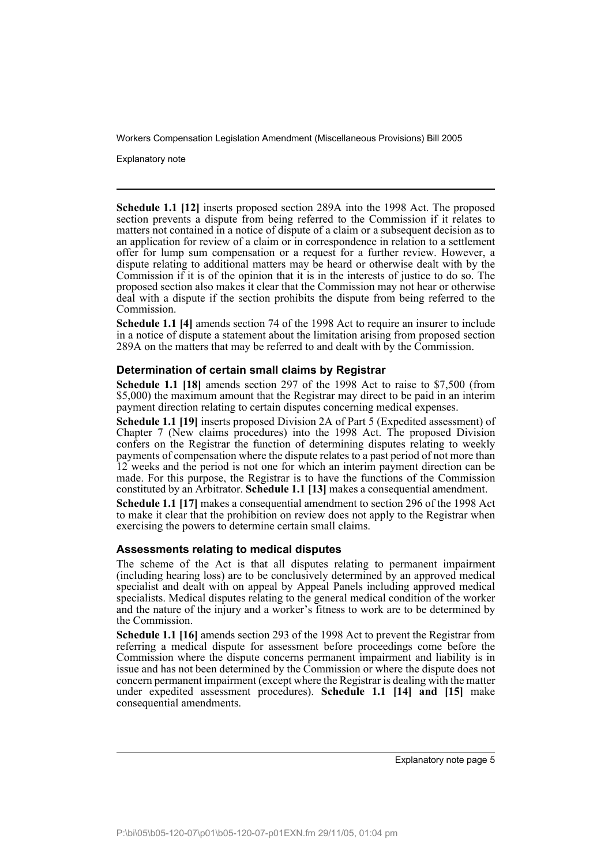Explanatory note

**Schedule 1.1 [12]** inserts proposed section 289A into the 1998 Act. The proposed section prevents a dispute from being referred to the Commission if it relates to matters not contained in a notice of dispute of a claim or a subsequent decision as to an application for review of a claim or in correspondence in relation to a settlement offer for lump sum compensation or a request for a further review. However, a dispute relating to additional matters may be heard or otherwise dealt with by the Commission if it is of the opinion that it is in the interests of justice to do so. The proposed section also makes it clear that the Commission may not hear or otherwise deal with a dispute if the section prohibits the dispute from being referred to the Commission.

**Schedule 1.1 [4]** amends section 74 of the 1998 Act to require an insurer to include in a notice of dispute a statement about the limitation arising from proposed section 289A on the matters that may be referred to and dealt with by the Commission.

### **Determination of certain small claims by Registrar**

**Schedule 1.1 [18]** amends section 297 of the 1998 Act to raise to \$7,500 (from \$5,000) the maximum amount that the Registrar may direct to be paid in an interim payment direction relating to certain disputes concerning medical expenses.

**Schedule 1.1 [19]** inserts proposed Division 2A of Part 5 (Expedited assessment) of Chapter 7 (New claims procedures) into the 1998 Act. The proposed Division confers on the Registrar the function of determining disputes relating to weekly payments of compensation where the dispute relates to a past period of not more than 12 weeks and the period is not one for which an interim payment direction can be made. For this purpose, the Registrar is to have the functions of the Commission constituted by an Arbitrator. **Schedule 1.1 [13]** makes a consequential amendment.

**Schedule 1.1 [17]** makes a consequential amendment to section 296 of the 1998 Act to make it clear that the prohibition on review does not apply to the Registrar when exercising the powers to determine certain small claims.

### **Assessments relating to medical disputes**

The scheme of the Act is that all disputes relating to permanent impairment (including hearing loss) are to be conclusively determined by an approved medical specialist and dealt with on appeal by Appeal Panels including approved medical specialists. Medical disputes relating to the general medical condition of the worker and the nature of the injury and a worker's fitness to work are to be determined by the Commission.

**Schedule 1.1 [16]** amends section 293 of the 1998 Act to prevent the Registrar from referring a medical dispute for assessment before proceedings come before the Commission where the dispute concerns permanent impairment and liability is in issue and has not been determined by the Commission or where the dispute does not concern permanent impairment (except where the Registrar is dealing with the matter under expedited assessment procedures). **Schedule 1.1 [14] and [15]** make consequential amendments.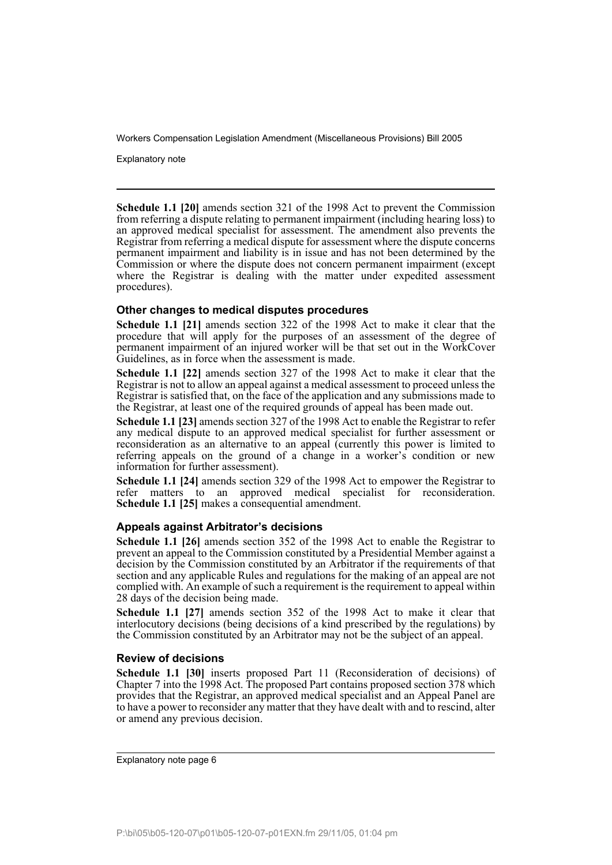Explanatory note

**Schedule 1.1 [20]** amends section 321 of the 1998 Act to prevent the Commission from referring a dispute relating to permanent impairment (including hearing loss) to an approved medical specialist for assessment. The amendment also prevents the Registrar from referring a medical dispute for assessment where the dispute concerns permanent impairment and liability is in issue and has not been determined by the Commission or where the dispute does not concern permanent impairment (except where the Registrar is dealing with the matter under expedited assessment procedures).

### **Other changes to medical disputes procedures**

**Schedule 1.1 [21]** amends section 322 of the 1998 Act to make it clear that the procedure that will apply for the purposes of an assessment of the degree of permanent impairment of an injured worker will be that set out in the WorkCover Guidelines, as in force when the assessment is made.

**Schedule 1.1 [22]** amends section 327 of the 1998 Act to make it clear that the Registrar is not to allow an appeal against a medical assessment to proceed unless the Registrar is satisfied that, on the face of the application and any submissions made to the Registrar, at least one of the required grounds of appeal has been made out.

**Schedule 1.1 [23]** amends section 327 of the 1998 Act to enable the Registrar to refer any medical dispute to an approved medical specialist for further assessment or reconsideration as an alternative to an appeal (currently this power is limited to referring appeals on the ground of a change in a worker's condition or new information for further assessment).

**Schedule 1.1 [24]** amends section 329 of the 1998 Act to empower the Registrar to refer matters to an approved medical specialist for reconsideration. **Schedule 1.1 [25]** makes a consequential amendment.

### **Appeals against Arbitrator's decisions**

**Schedule 1.1 [26]** amends section 352 of the 1998 Act to enable the Registrar to prevent an appeal to the Commission constituted by a Presidential Member against a decision by the Commission constituted by an Arbitrator if the requirements of that section and any applicable Rules and regulations for the making of an appeal are not complied with. An example of such a requirement is the requirement to appeal within 28 days of the decision being made.

**Schedule 1.1 [27]** amends section 352 of the 1998 Act to make it clear that interlocutory decisions (being decisions of a kind prescribed by the regulations) by the Commission constituted by an Arbitrator may not be the subject of an appeal.

### **Review of decisions**

**Schedule 1.1 [30]** inserts proposed Part 11 (Reconsideration of decisions) of Chapter 7 into the 1998 Act. The proposed Part contains proposed section 378 which provides that the Registrar, an approved medical specialist and an Appeal Panel are to have a power to reconsider any matter that they have dealt with and to rescind, alter or amend any previous decision.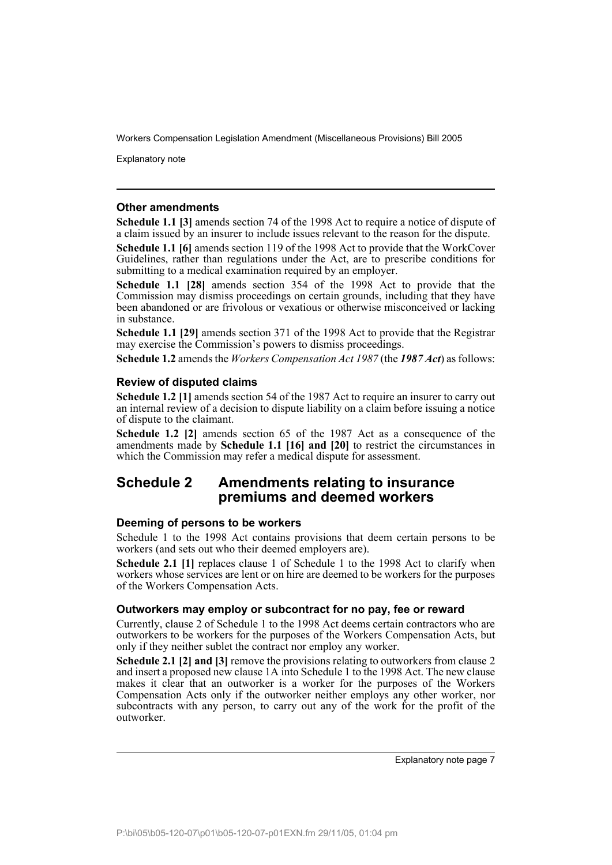Explanatory note

### **Other amendments**

**Schedule 1.1 [3]** amends section 74 of the 1998 Act to require a notice of dispute of a claim issued by an insurer to include issues relevant to the reason for the dispute.

**Schedule 1.1 [6]** amends section 119 of the 1998 Act to provide that the WorkCover Guidelines, rather than regulations under the Act, are to prescribe conditions for submitting to a medical examination required by an employer.

**Schedule 1.1 [28]** amends section 354 of the 1998 Act to provide that the Commission may dismiss proceedings on certain grounds, including that they have been abandoned or are frivolous or vexatious or otherwise misconceived or lacking in substance.

**Schedule 1.1 [29]** amends section 371 of the 1998 Act to provide that the Registrar may exercise the Commission's powers to dismiss proceedings.

**Schedule 1.2** amends the *Workers Compensation Act 1987* (the *1987 Act*) as follows:

### **Review of disputed claims**

**Schedule 1.2 [1]** amends section 54 of the 1987 Act to require an insurer to carry out an internal review of a decision to dispute liability on a claim before issuing a notice of dispute to the claimant.

**Schedule 1.2 [2]** amends section 65 of the 1987 Act as a consequence of the amendments made by **Schedule 1.1 [16] and [20]** to restrict the circumstances in which the Commission may refer a medical dispute for assessment.

# **Schedule 2 Amendments relating to insurance premiums and deemed workers**

### **Deeming of persons to be workers**

Schedule 1 to the 1998 Act contains provisions that deem certain persons to be workers (and sets out who their deemed employers are).

**Schedule 2.1 [1]** replaces clause 1 of Schedule 1 to the 1998 Act to clarify when workers whose services are lent or on hire are deemed to be workers for the purposes of the Workers Compensation Acts.

### **Outworkers may employ or subcontract for no pay, fee or reward**

Currently, clause 2 of Schedule 1 to the 1998 Act deems certain contractors who are outworkers to be workers for the purposes of the Workers Compensation Acts, but only if they neither sublet the contract nor employ any worker.

**Schedule 2.1 [2] and [3]** remove the provisions relating to outworkers from clause 2 and insert a proposed new clause 1A into Schedule 1 to the 1998 Act. The new clause makes it clear that an outworker is a worker for the purposes of the Workers Compensation Acts only if the outworker neither employs any other worker, nor subcontracts with any person, to carry out any of the work for the profit of the outworker.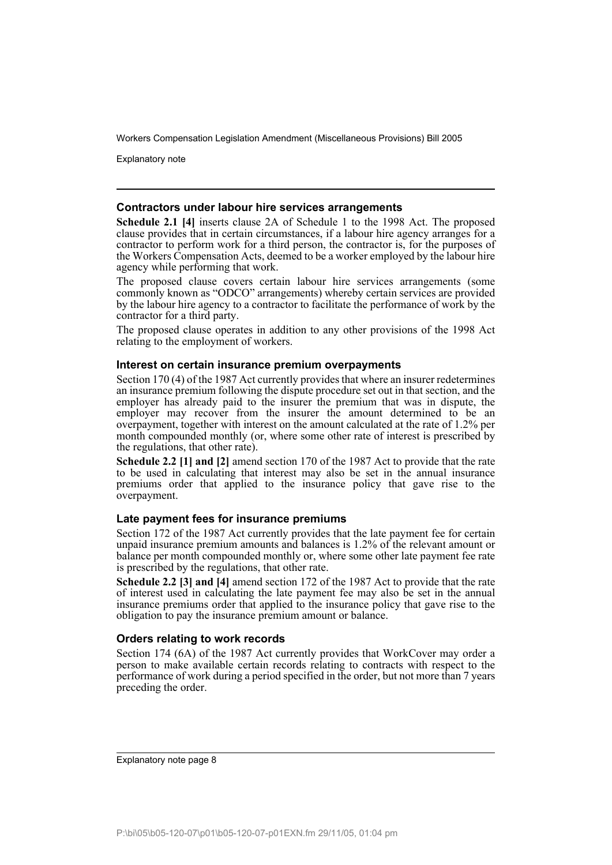Explanatory note

### **Contractors under labour hire services arrangements**

**Schedule 2.1 [4]** inserts clause 2A of Schedule 1 to the 1998 Act. The proposed clause provides that in certain circumstances, if a labour hire agency arranges for a contractor to perform work for a third person, the contractor is, for the purposes of the Workers Compensation Acts, deemed to be a worker employed by the labour hire agency while performing that work.

The proposed clause covers certain labour hire services arrangements (some commonly known as "ODCO" arrangements) whereby certain services are provided by the labour hire agency to a contractor to facilitate the performance of work by the contractor for a third party.

The proposed clause operates in addition to any other provisions of the 1998 Act relating to the employment of workers.

### **Interest on certain insurance premium overpayments**

Section 170 (4) of the 1987 Act currently provides that where an insurer redetermines an insurance premium following the dispute procedure set out in that section, and the employer has already paid to the insurer the premium that was in dispute, the employer may recover from the insurer the amount determined to be an overpayment, together with interest on the amount calculated at the rate of 1.2% per month compounded monthly (or, where some other rate of interest is prescribed by the regulations, that other rate).

**Schedule 2.2 [1] and [2]** amend section 170 of the 1987 Act to provide that the rate to be used in calculating that interest may also be set in the annual insurance premiums order that applied to the insurance policy that gave rise to the overpayment.

### **Late payment fees for insurance premiums**

Section 172 of the 1987 Act currently provides that the late payment fee for certain unpaid insurance premium amounts and balances is 1.2% of the relevant amount or balance per month compounded monthly or, where some other late payment fee rate is prescribed by the regulations, that other rate.

**Schedule 2.2 [3] and [4]** amend section 172 of the 1987 Act to provide that the rate of interest used in calculating the late payment fee may also be set in the annual insurance premiums order that applied to the insurance policy that gave rise to the obligation to pay the insurance premium amount or balance.

### **Orders relating to work records**

Section 174 (6A) of the 1987 Act currently provides that WorkCover may order a person to make available certain records relating to contracts with respect to the performance of work during a period specified in the order, but not more than 7 years preceding the order.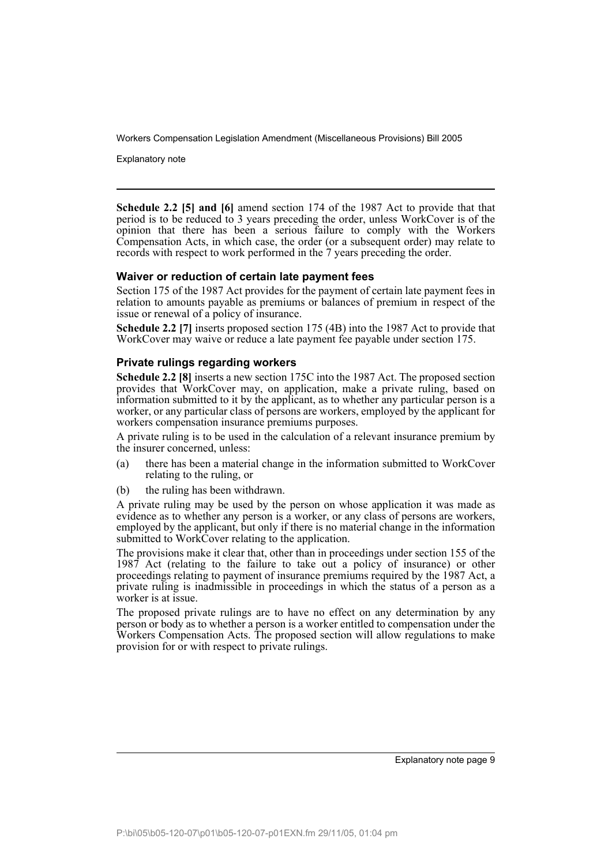Explanatory note

**Schedule 2.2 [5] and [6]** amend section 174 of the 1987 Act to provide that that period is to be reduced to 3 years preceding the order, unless WorkCover is of the opinion that there has been a serious failure to comply with the Workers Compensation Acts, in which case, the order (or a subsequent order) may relate to records with respect to work performed in the  $\bar{7}$  years preceding the order.

### **Waiver or reduction of certain late payment fees**

Section 175 of the 1987 Act provides for the payment of certain late payment fees in relation to amounts payable as premiums or balances of premium in respect of the issue or renewal of a policy of insurance.

**Schedule 2.2 [7]** inserts proposed section 175 (4B) into the 1987 Act to provide that WorkCover may waive or reduce a late payment fee payable under section 175.

### **Private rulings regarding workers**

**Schedule 2.2 [8]** inserts a new section 175C into the 1987 Act. The proposed section provides that WorkCover may, on application, make a private ruling, based on information submitted to it by the applicant, as to whether any particular person is a worker, or any particular class of persons are workers, employed by the applicant for workers compensation insurance premiums purposes.

A private ruling is to be used in the calculation of a relevant insurance premium by the insurer concerned, unless:

- (a) there has been a material change in the information submitted to WorkCover relating to the ruling, or
- (b) the ruling has been withdrawn.

A private ruling may be used by the person on whose application it was made as evidence as to whether any person is a worker, or any class of persons are workers, employed by the applicant, but only if there is no material change in the information submitted to WorkCover relating to the application.

The provisions make it clear that, other than in proceedings under section 155 of the 1987 Act (relating to the failure to take out a policy of insurance) or other proceedings relating to payment of insurance premiums required by the 1987 Act, a private ruling is inadmissible in proceedings in which the status of a person as a worker is at issue.

The proposed private rulings are to have no effect on any determination by any person or body as to whether a person is a worker entitled to compensation under the Workers Compensation Acts. The proposed section will allow regulations to make provision for or with respect to private rulings.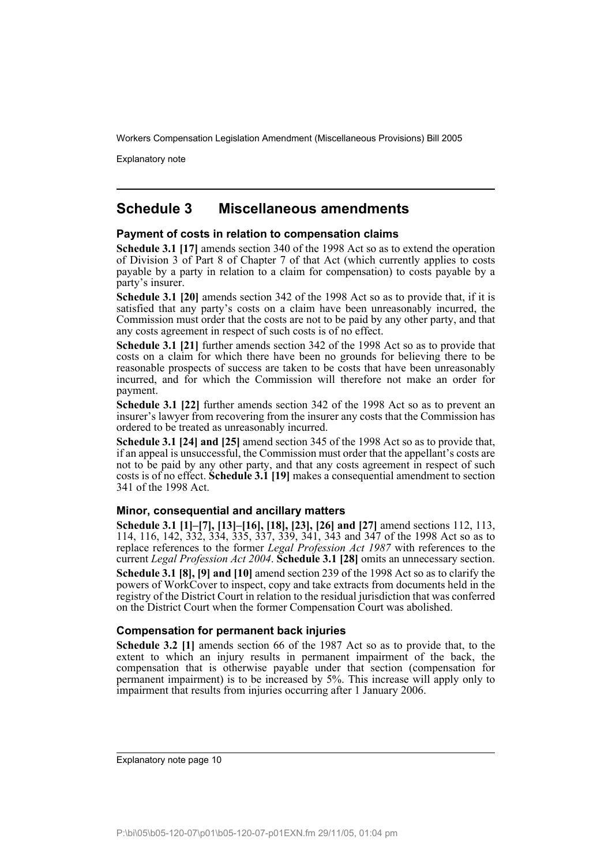Explanatory note

# **Schedule 3 Miscellaneous amendments**

### **Payment of costs in relation to compensation claims**

**Schedule 3.1 [17]** amends section 340 of the 1998 Act so as to extend the operation of Division 3 of Part 8 of Chapter 7 of that Act (which currently applies to costs payable by a party in relation to a claim for compensation) to costs payable by a party's insurer.

**Schedule 3.1 [20]** amends section 342 of the 1998 Act so as to provide that, if it is satisfied that any party's costs on a claim have been unreasonably incurred, the Commission must order that the costs are not to be paid by any other party, and that any costs agreement in respect of such costs is of no effect.

**Schedule 3.1 [21]** further amends section 342 of the 1998 Act so as to provide that costs on a claim for which there have been no grounds for believing there to be reasonable prospects of success are taken to be costs that have been unreasonably incurred, and for which the Commission will therefore not make an order for payment.

**Schedule 3.1 [22]** further amends section 342 of the 1998 Act so as to prevent an insurer's lawyer from recovering from the insurer any costs that the Commission has ordered to be treated as unreasonably incurred.

**Schedule 3.1 [24] and [25]** amend section 345 of the 1998 Act so as to provide that, if an appeal is unsuccessful, the Commission must order that the appellant's costs are not to be paid by any other party, and that any costs agreement in respect of such costs is of no effect. **Schedule 3.1 [19]** makes a consequential amendment to section 341 of the 1998 Act.

### **Minor, consequential and ancillary matters**

**Schedule 3.1 [1]–[7], [13]–[16], [18], [23], [26] and [27]** amend sections 112, 113, 114, 116, 142, 332, 334, 335, 337, 339, 341, 343 and 347 of the 1998 Act so as to replace references to the former *Legal Profession Act 1987* with references to the current *Legal Profession Act 2004*. **Schedule 3.1 [28]** omits an unnecessary section. **Schedule 3.1 [8], [9] and [10]** amend section 239 of the 1998 Act so as to clarify the powers of WorkCover to inspect, copy and take extracts from documents held in the registry of the District Court in relation to the residual jurisdiction that was conferred on the District Court when the former Compensation Court was abolished.

### **Compensation for permanent back injuries**

**Schedule 3.2 [1]** amends section 66 of the 1987 Act so as to provide that, to the extent to which an injury results in permanent impairment of the back, the compensation that is otherwise payable under that section (compensation for permanent impairment) is to be increased by 5%. This increase will apply only to impairment that results from injuries occurring after 1 January 2006.

Explanatory note page 10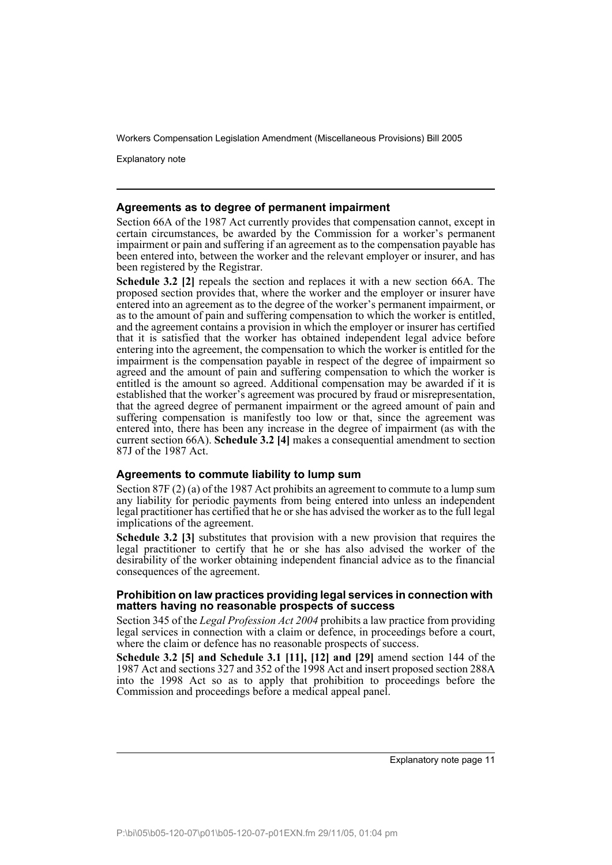Explanatory note

### **Agreements as to degree of permanent impairment**

Section 66A of the 1987 Act currently provides that compensation cannot, except in certain circumstances, be awarded by the Commission for a worker's permanent impairment or pain and suffering if an agreement as to the compensation payable has been entered into, between the worker and the relevant employer or insurer, and has been registered by the Registrar.

**Schedule 3.2 [2]** repeals the section and replaces it with a new section 66A. The proposed section provides that, where the worker and the employer or insurer have entered into an agreement as to the degree of the worker's permanent impairment, or as to the amount of pain and suffering compensation to which the worker is entitled, and the agreement contains a provision in which the employer or insurer has certified that it is satisfied that the worker has obtained independent legal advice before entering into the agreement, the compensation to which the worker is entitled for the impairment is the compensation payable in respect of the degree of impairment so agreed and the amount of pain and suffering compensation to which the worker is entitled is the amount so agreed. Additional compensation may be awarded if it is established that the worker's agreement was procured by fraud or misrepresentation, that the agreed degree of permanent impairment or the agreed amount of pain and suffering compensation is manifestly too low or that, since the agreement was entered into, there has been any increase in the degree of impairment (as with the current section 66A). **Schedule 3.2 [4]** makes a consequential amendment to section 87J of the 1987 Act.

### **Agreements to commute liability to lump sum**

Section 87F (2) (a) of the 1987 Act prohibits an agreement to commute to a lump sum any liability for periodic payments from being entered into unless an independent legal practitioner has certified that he or she has advised the worker as to the full legal implications of the agreement.

**Schedule 3.2 [3]** substitutes that provision with a new provision that requires the legal practitioner to certify that he or she has also advised the worker of the desirability of the worker obtaining independent financial advice as to the financial consequences of the agreement.

### **Prohibition on law practices providing legal services in connection with matters having no reasonable prospects of success**

Section 345 of the *Legal Profession Act 2004* prohibits a law practice from providing legal services in connection with a claim or defence, in proceedings before a court, where the claim or defence has no reasonable prospects of success.

**Schedule 3.2 [5] and Schedule 3.1 [11], [12] and [29]** amend section 144 of the 1987 Act and sections 327 and 352 of the 1998 Act and insert proposed section 288A into the 1998 Act so as to apply that prohibition to proceedings before the Commission and proceedings before a medical appeal panel.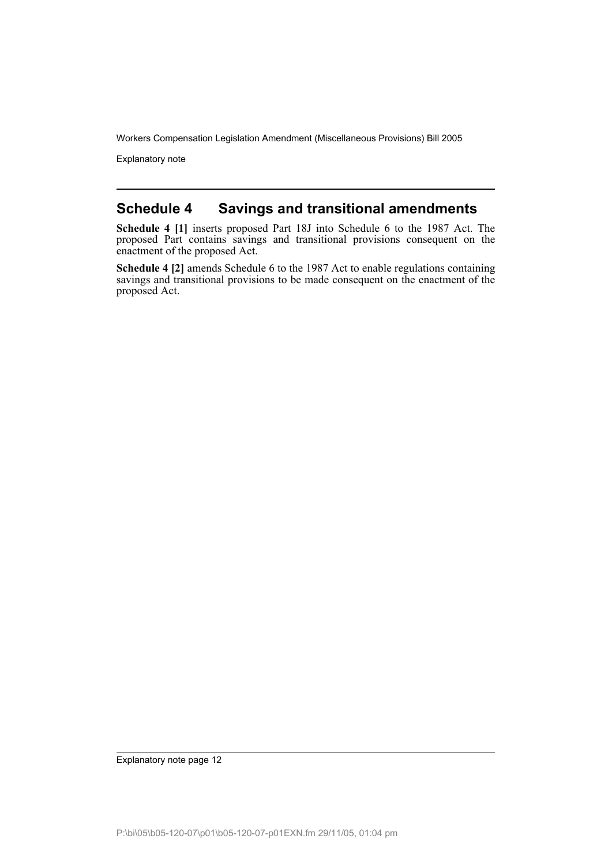Explanatory note

# **Schedule 4 Savings and transitional amendments**

**Schedule 4 [1]** inserts proposed Part 18J into Schedule 6 to the 1987 Act. The proposed Part contains savings and transitional provisions consequent on the enactment of the proposed Act.

**Schedule 4 [2]** amends Schedule 6 to the 1987 Act to enable regulations containing savings and transitional provisions to be made consequent on the enactment of the proposed Act.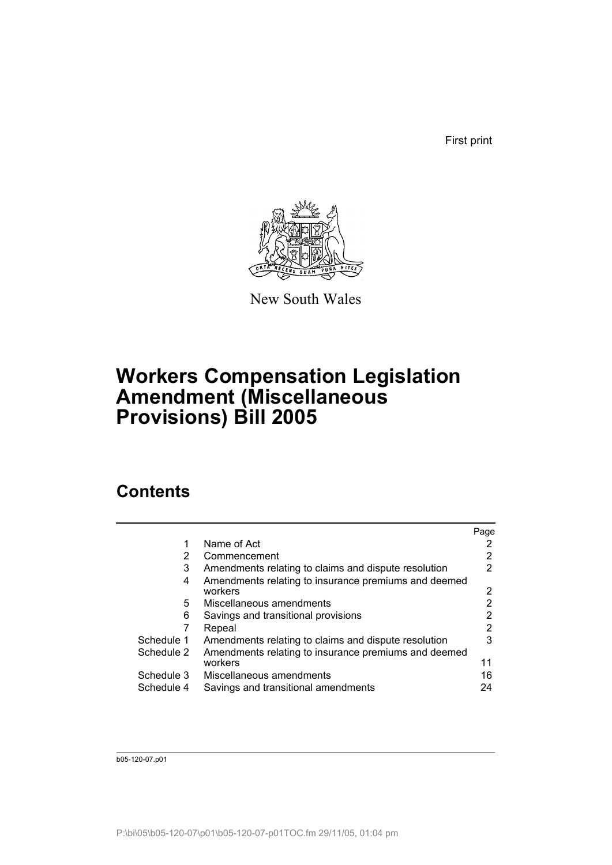First print



New South Wales

# **Workers Compensation Legislation Amendment (Miscellaneous Provisions) Bill 2005**

# **Contents**

|            |                                                      | Page |
|------------|------------------------------------------------------|------|
|            | Name of Act                                          |      |
| 2          | Commencement                                         | 2    |
| 3          | Amendments relating to claims and dispute resolution | 2    |
| 4          | Amendments relating to insurance premiums and deemed |      |
|            | workers                                              | 2    |
| 5.         | Miscellaneous amendments                             | 2    |
| 6          | Savings and transitional provisions                  | 2    |
|            | Repeal                                               | 2    |
| Schedule 1 | Amendments relating to claims and dispute resolution | 3    |
| Schedule 2 | Amendments relating to insurance premiums and deemed |      |
|            | workers                                              | 11   |
| Schedule 3 | Miscellaneous amendments                             | 16   |
| Schedule 4 | Savings and transitional amendments                  | 24   |

b05-120-07.p01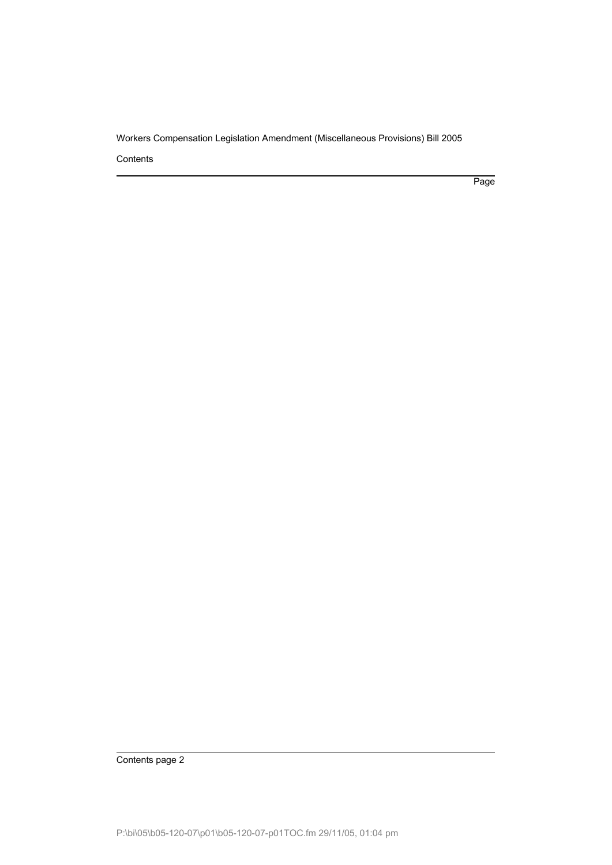**Contents** 

Page

Contents page 2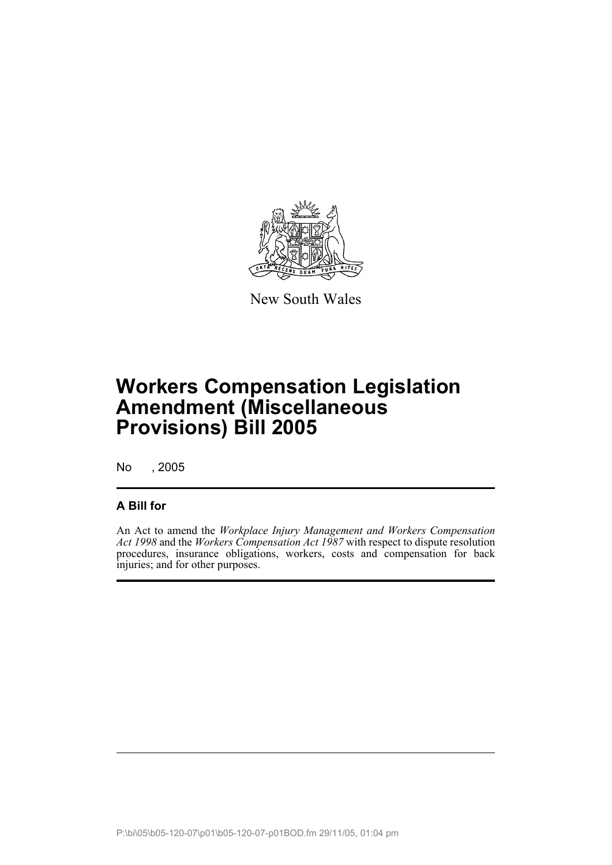

New South Wales

# **Workers Compensation Legislation Amendment (Miscellaneous Provisions) Bill 2005**

No , 2005

# **A Bill for**

An Act to amend the *Workplace Injury Management and Workers Compensation Act 1998* and the *Workers Compensation Act 1987* with respect to dispute resolution procedures, insurance obligations, workers, costs and compensation for back injuries; and for other purposes.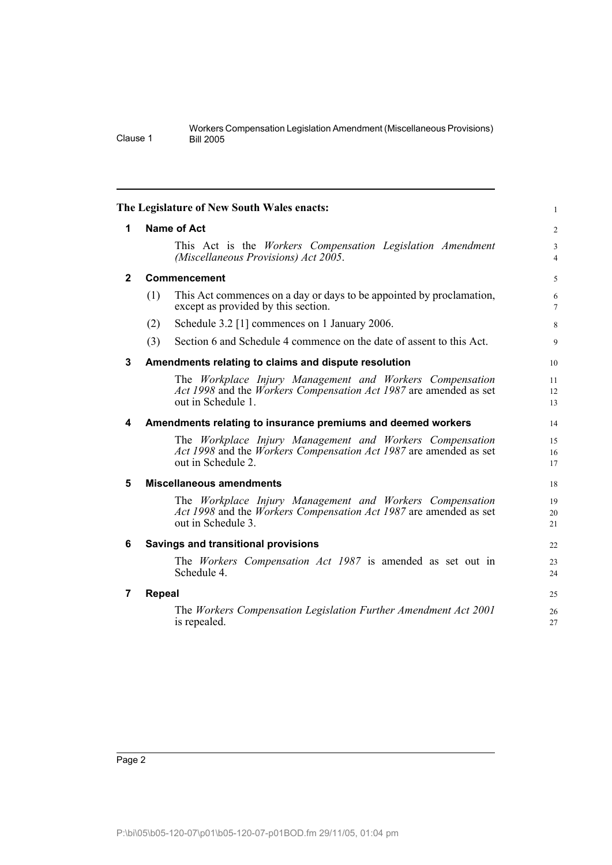<span id="page-15-6"></span><span id="page-15-5"></span><span id="page-15-4"></span><span id="page-15-3"></span><span id="page-15-2"></span><span id="page-15-1"></span><span id="page-15-0"></span>

|              | The Legislature of New South Wales enacts:                                                                                                          | $\mathbf{1}$        |  |  |  |  |  |
|--------------|-----------------------------------------------------------------------------------------------------------------------------------------------------|---------------------|--|--|--|--|--|
| 1            | <b>Name of Act</b>                                                                                                                                  |                     |  |  |  |  |  |
|              | This Act is the Workers Compensation Legislation Amendment<br>(Miscellaneous Provisions) Act 2005.                                                  | 3<br>$\overline{4}$ |  |  |  |  |  |
| $\mathbf{2}$ | Commencement                                                                                                                                        | 5                   |  |  |  |  |  |
|              | (1)<br>This Act commences on a day or days to be appointed by proclamation,<br>except as provided by this section.                                  | 6<br>7              |  |  |  |  |  |
|              | Schedule 3.2 [1] commences on 1 January 2006.<br>(2)                                                                                                | 8                   |  |  |  |  |  |
|              | Section 6 and Schedule 4 commence on the date of assent to this Act.<br>(3)                                                                         | 9                   |  |  |  |  |  |
| 3            | Amendments relating to claims and dispute resolution                                                                                                | 10                  |  |  |  |  |  |
|              | The Workplace Injury Management and Workers Compensation<br>Act 1998 and the Workers Compensation Act 1987 are amended as set<br>out in Schedule 1. | 11<br>12<br>13      |  |  |  |  |  |
| 4            | Amendments relating to insurance premiums and deemed workers                                                                                        | 14                  |  |  |  |  |  |
|              | The Workplace Injury Management and Workers Compensation<br>Act 1998 and the Workers Compensation Act 1987 are amended as set<br>out in Schedule 2. | 15<br>16<br>17      |  |  |  |  |  |
| 5            | <b>Miscellaneous amendments</b>                                                                                                                     | 18                  |  |  |  |  |  |
|              | The Workplace Injury Management and Workers Compensation<br>Act 1998 and the Workers Compensation Act 1987 are amended as set<br>out in Schedule 3. | 19<br>20<br>21      |  |  |  |  |  |
| 6            | <b>Savings and transitional provisions</b>                                                                                                          | 22                  |  |  |  |  |  |
|              | The <i>Workers</i> Compensation Act 1987 is amended as set out in<br>Schedule 4.                                                                    | 23<br>24            |  |  |  |  |  |
| 7            | Repeal                                                                                                                                              | 25                  |  |  |  |  |  |
|              | The Workers Compensation Legislation Further Amendment Act 2001<br>is repealed.                                                                     | 26<br>27            |  |  |  |  |  |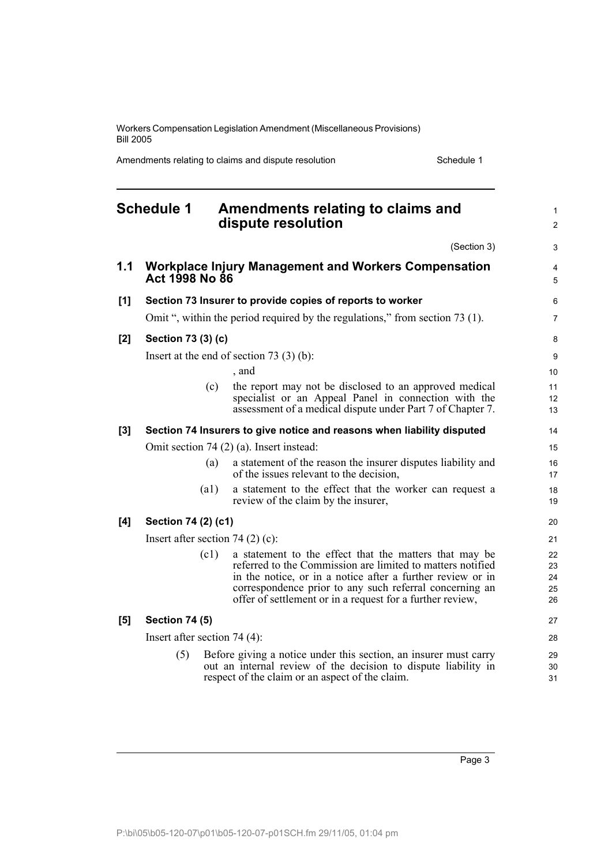Amendments relating to claims and dispute resolution Schedule 1

<span id="page-16-0"></span>

|     | <b>Schedule 1</b>                  |      | Amendments relating to claims and<br>dispute resolution                                                                                                                                                                                                                                                    | 1<br>$\overline{\mathbf{c}}$ |
|-----|------------------------------------|------|------------------------------------------------------------------------------------------------------------------------------------------------------------------------------------------------------------------------------------------------------------------------------------------------------------|------------------------------|
|     |                                    |      | (Section 3)                                                                                                                                                                                                                                                                                                | 3                            |
| 1.1 | <b>Act 1998 No 86</b>              |      | <b>Workplace Injury Management and Workers Compensation</b>                                                                                                                                                                                                                                                | 4<br>5                       |
| [1] |                                    |      | Section 73 Insurer to provide copies of reports to worker                                                                                                                                                                                                                                                  | 6                            |
|     |                                    |      | Omit ", within the period required by the regulations," from section 73 (1).                                                                                                                                                                                                                               | 7                            |
| [2] | Section 73 (3) (c)                 |      |                                                                                                                                                                                                                                                                                                            | 8                            |
|     |                                    |      | Insert at the end of section $73(3)(b)$ :                                                                                                                                                                                                                                                                  | 9                            |
|     |                                    |      | , and                                                                                                                                                                                                                                                                                                      | 10                           |
|     |                                    | (c)  | the report may not be disclosed to an approved medical<br>specialist or an Appeal Panel in connection with the<br>assessment of a medical dispute under Part 7 of Chapter 7.                                                                                                                               | 11<br>12<br>13               |
| [3] |                                    |      | Section 74 Insurers to give notice and reasons when liability disputed                                                                                                                                                                                                                                     | 14                           |
|     |                                    |      | Omit section 74 (2) (a). Insert instead:                                                                                                                                                                                                                                                                   | 15                           |
|     |                                    | (a)  | a statement of the reason the insurer disputes liability and<br>of the issues relevant to the decision,                                                                                                                                                                                                    | 16<br>17                     |
|     |                                    | (a1) | a statement to the effect that the worker can request a<br>review of the claim by the insurer,                                                                                                                                                                                                             | 18<br>19                     |
| [4] | Section 74 (2) (c1)                |      |                                                                                                                                                                                                                                                                                                            | 20                           |
|     | Insert after section 74 $(2)$ (c): |      |                                                                                                                                                                                                                                                                                                            | 21                           |
|     |                                    | (c1) | a statement to the effect that the matters that may be<br>referred to the Commission are limited to matters notified<br>in the notice, or in a notice after a further review or in<br>correspondence prior to any such referral concerning an<br>offer of settlement or in a request for a further review, | 22<br>23<br>24<br>25<br>26   |
| [5] | <b>Section 74 (5)</b>              |      |                                                                                                                                                                                                                                                                                                            | 27                           |
|     | Insert after section $74(4)$ :     |      |                                                                                                                                                                                                                                                                                                            | 28                           |
|     | (5)                                |      | Before giving a notice under this section, an insurer must carry<br>out an internal review of the decision to dispute liability in<br>respect of the claim or an aspect of the claim.                                                                                                                      | 29<br>30<br>31               |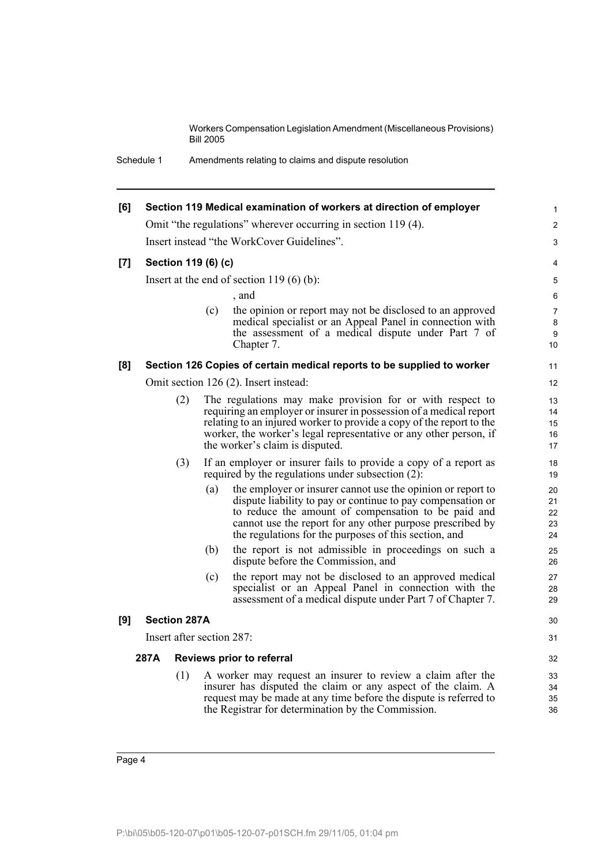Schedule 1 Amendments relating to claims and dispute resolution

| [6] | Section 119 Medical examination of workers at direction of employer |     |     |                                                                                                                                                                                                                                                                                                                 |                            |  |
|-----|---------------------------------------------------------------------|-----|-----|-----------------------------------------------------------------------------------------------------------------------------------------------------------------------------------------------------------------------------------------------------------------------------------------------------------------|----------------------------|--|
|     |                                                                     |     |     | Omit "the regulations" wherever occurring in section 119 (4).                                                                                                                                                                                                                                                   | $\overline{2}$             |  |
|     |                                                                     |     |     | Insert instead "the WorkCover Guidelines".                                                                                                                                                                                                                                                                      | 3                          |  |
| [7] | Section 119 (6) (c)                                                 |     |     |                                                                                                                                                                                                                                                                                                                 | 4                          |  |
|     |                                                                     |     |     | Insert at the end of section 119 $(6)(b)$ :                                                                                                                                                                                                                                                                     | 5                          |  |
|     |                                                                     |     |     | , and                                                                                                                                                                                                                                                                                                           | 6                          |  |
|     |                                                                     |     | (c) | the opinion or report may not be disclosed to an approved<br>medical specialist or an Appeal Panel in connection with<br>the assessment of a medical dispute under Part 7 of<br>Chapter 7.                                                                                                                      | 7<br>8<br>9<br>10          |  |
| [8] |                                                                     |     |     | Section 126 Copies of certain medical reports to be supplied to worker                                                                                                                                                                                                                                          | 11                         |  |
|     |                                                                     |     |     | Omit section 126 (2). Insert instead:                                                                                                                                                                                                                                                                           | 12                         |  |
|     |                                                                     | (2) |     | The regulations may make provision for or with respect to<br>requiring an employer or insurer in possession of a medical report<br>relating to an injured worker to provide a copy of the report to the<br>worker, the worker's legal representative or any other person, if<br>the worker's claim is disputed. | 13<br>14<br>15<br>16<br>17 |  |
|     |                                                                     | (3) |     | If an employer or insurer fails to provide a copy of a report as<br>required by the regulations under subsection $(2)$ :                                                                                                                                                                                        | 18<br>19                   |  |
|     |                                                                     |     | (a) | the employer or insurer cannot use the opinion or report to<br>dispute liability to pay or continue to pay compensation or<br>to reduce the amount of compensation to be paid and<br>cannot use the report for any other purpose prescribed by<br>the regulations for the purposes of this section, and         | 20<br>21<br>22<br>23<br>24 |  |
|     |                                                                     |     | (b) | the report is not admissible in proceedings on such a<br>dispute before the Commission, and                                                                                                                                                                                                                     | 25<br>26                   |  |
|     |                                                                     |     | (c) | the report may not be disclosed to an approved medical<br>specialist or an Appeal Panel in connection with the<br>assessment of a medical dispute under Part 7 of Chapter 7.                                                                                                                                    | 27<br>28<br>29             |  |
| [9] | <b>Section 287A</b>                                                 |     |     |                                                                                                                                                                                                                                                                                                                 | 30                         |  |
|     | Insert after section 287:                                           |     |     |                                                                                                                                                                                                                                                                                                                 | 31                         |  |
|     | 287A                                                                |     |     | Reviews prior to referral                                                                                                                                                                                                                                                                                       | 32                         |  |
|     |                                                                     | (1) |     | A worker may request an insurer to review a claim after the<br>insurer has disputed the claim or any aspect of the claim. A<br>request may be made at any time before the dispute is referred to<br>the Registrar for determination by the Commission.                                                          | 33<br>34<br>35<br>36       |  |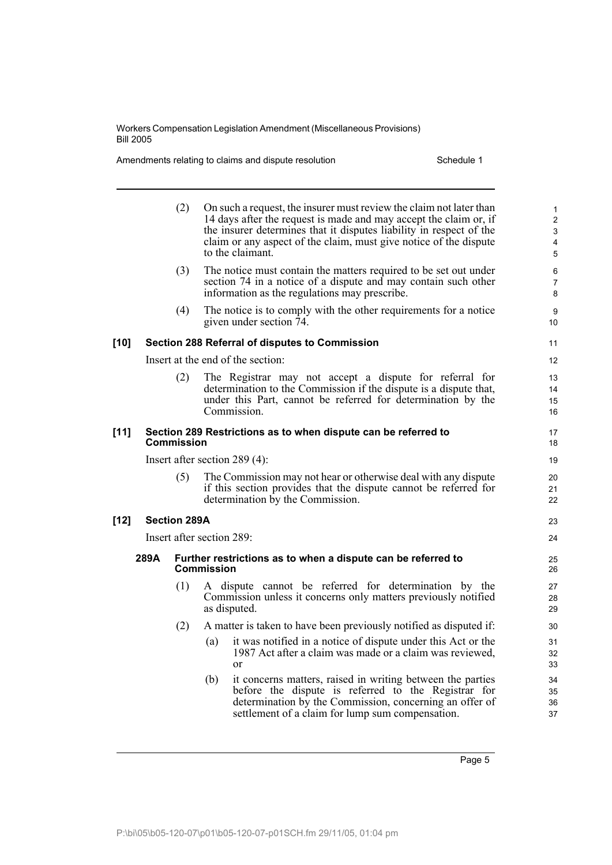Amendments relating to claims and dispute resolution Schedule 1

|        |      | (2)                                                                          |                           | On such a request, the insurer must review the claim not later than<br>14 days after the request is made and may accept the claim or, if<br>the insurer determines that it disputes liability in respect of the<br>claim or any aspect of the claim, must give notice of the dispute<br>to the claimant. | $\mathbf{1}$<br>$\overline{c}$<br>$\mathbf{3}$<br>4<br>5 |  |  |
|--------|------|------------------------------------------------------------------------------|---------------------------|----------------------------------------------------------------------------------------------------------------------------------------------------------------------------------------------------------------------------------------------------------------------------------------------------------|----------------------------------------------------------|--|--|
|        |      | (3)                                                                          |                           | The notice must contain the matters required to be set out under<br>section 74 in a notice of a dispute and may contain such other<br>information as the regulations may prescribe.                                                                                                                      | 6<br>$\overline{7}$<br>8                                 |  |  |
|        |      | (4)                                                                          |                           | The notice is to comply with the other requirements for a notice<br>given under section 74.                                                                                                                                                                                                              | 9<br>10                                                  |  |  |
| [10]   |      |                                                                              |                           | Section 288 Referral of disputes to Commission                                                                                                                                                                                                                                                           | 11                                                       |  |  |
|        |      |                                                                              |                           | Insert at the end of the section:                                                                                                                                                                                                                                                                        | $12 \overline{ }$                                        |  |  |
|        |      | (2)                                                                          |                           | The Registrar may not accept a dispute for referral for<br>determination to the Commission if the dispute is a dispute that,<br>under this Part, cannot be referred for determination by the<br>Commission.                                                                                              | 13<br>14<br>15<br>16                                     |  |  |
| $[11]$ |      | Section 289 Restrictions as to when dispute can be referred to<br>Commission |                           |                                                                                                                                                                                                                                                                                                          |                                                          |  |  |
|        |      |                                                                              |                           | Insert after section $289(4)$ :                                                                                                                                                                                                                                                                          | 19                                                       |  |  |
|        |      | (5)                                                                          |                           | The Commission may not hear or otherwise deal with any dispute<br>if this section provides that the dispute cannot be referred for<br>determination by the Commission.                                                                                                                                   | 20<br>21<br>22                                           |  |  |
| [12]   |      | <b>Section 289A</b>                                                          |                           |                                                                                                                                                                                                                                                                                                          | 23                                                       |  |  |
|        |      |                                                                              | Insert after section 289: |                                                                                                                                                                                                                                                                                                          | 24                                                       |  |  |
|        | 289A |                                                                              | <b>Commission</b>         | Further restrictions as to when a dispute can be referred to                                                                                                                                                                                                                                             | 25<br>26                                                 |  |  |
|        |      | (1)                                                                          | as disputed.              | A dispute cannot be referred for determination by the<br>Commission unless it concerns only matters previously notified                                                                                                                                                                                  | 27<br>28<br>29                                           |  |  |
|        |      | (2)                                                                          |                           | A matter is taken to have been previously notified as disputed if:                                                                                                                                                                                                                                       | 30                                                       |  |  |
|        |      |                                                                              | (a)                       | it was notified in a notice of dispute under this Act or the<br>1987 Act after a claim was made or a claim was reviewed,<br><sub>or</sub>                                                                                                                                                                | 31<br>32<br>33                                           |  |  |
|        |      |                                                                              | (b)                       | it concerns matters, raised in writing between the parties<br>before the dispute is referred to the Registrar for<br>determination by the Commission, concerning an offer of<br>settlement of a claim for lump sum compensation.                                                                         | 34<br>35<br>36<br>37                                     |  |  |
|        |      |                                                                              |                           |                                                                                                                                                                                                                                                                                                          |                                                          |  |  |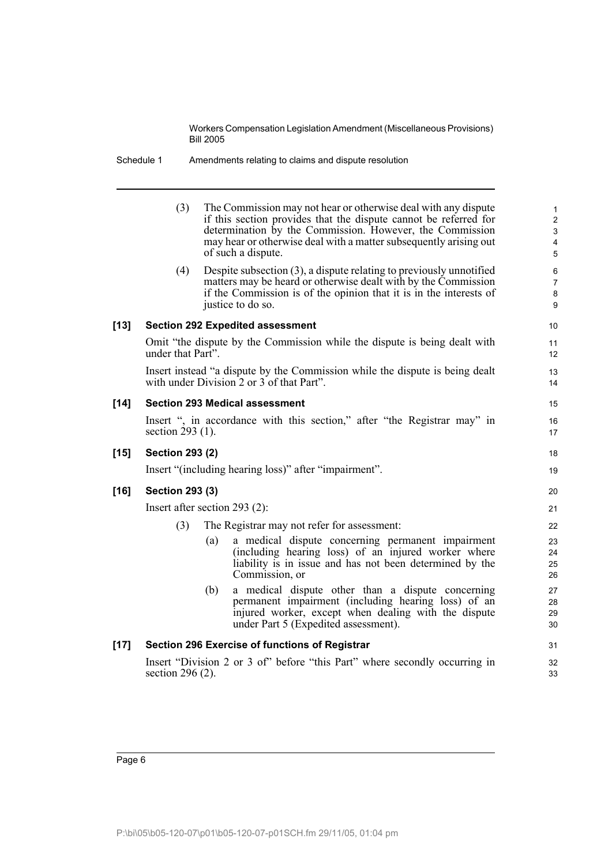| Schedule 1 | Amendments relating to claims and dispute resolution |
|------------|------------------------------------------------------|
|            |                                                      |

|        | (3)                             |     | The Commission may not hear or otherwise deal with any dispute<br>if this section provides that the dispute cannot be referred for<br>determination by the Commission. However, the Commission<br>may hear or otherwise deal with a matter subsequently arising out<br>of such a dispute. | $\mathbf{1}$<br>$\overline{2}$<br>3<br>4<br>5 |
|--------|---------------------------------|-----|-------------------------------------------------------------------------------------------------------------------------------------------------------------------------------------------------------------------------------------------------------------------------------------------|-----------------------------------------------|
|        | (4)                             |     | Despite subsection $(3)$ , a dispute relating to previously unnotified<br>matters may be heard or otherwise dealt with by the Commission<br>if the Commission is of the opinion that it is in the interests of<br>justice to do so.                                                       | $\,6\,$<br>$\overline{7}$<br>$\bf 8$<br>9     |
| [13]   |                                 |     | <b>Section 292 Expedited assessment</b>                                                                                                                                                                                                                                                   | 10                                            |
|        | under that Part".               |     | Omit "the dispute by the Commission while the dispute is being dealt with                                                                                                                                                                                                                 | 11<br>12                                      |
|        |                                 |     | Insert instead "a dispute by the Commission while the dispute is being dealt<br>with under Division 2 or 3 of that Part".                                                                                                                                                                 | 13<br>14                                      |
| $[14]$ |                                 |     | Section 293 Medical assessment                                                                                                                                                                                                                                                            | 15                                            |
|        | section 293 (1).                |     | Insert ", in accordance with this section," after "the Registrar may" in                                                                                                                                                                                                                  | 16<br>17                                      |
| [15]   | <b>Section 293 (2)</b>          |     |                                                                                                                                                                                                                                                                                           | 18                                            |
|        |                                 |     | Insert "(including hearing loss)" after "impairment".                                                                                                                                                                                                                                     | 19                                            |
| [16]   | <b>Section 293 (3)</b>          |     |                                                                                                                                                                                                                                                                                           | 20                                            |
|        | Insert after section $293$ (2): |     |                                                                                                                                                                                                                                                                                           | 21                                            |
|        | (3)                             |     | The Registrar may not refer for assessment:                                                                                                                                                                                                                                               | 22                                            |
|        |                                 | (a) | a medical dispute concerning permanent impairment<br>(including hearing loss) of an injured worker where<br>liability is in issue and has not been determined by the<br>Commission, or                                                                                                    | 23<br>24<br>25<br>26                          |
|        |                                 | (b) | a medical dispute other than a dispute concerning<br>permanent impairment (including hearing loss) of an<br>injured worker, except when dealing with the dispute<br>under Part 5 (Expedited assessment).                                                                                  | 27<br>28<br>29<br>30                          |
| [17]   |                                 |     | Section 296 Exercise of functions of Registrar                                                                                                                                                                                                                                            | 31                                            |
|        | section $296(2)$ .              |     | Insert "Division 2 or 3 of" before "this Part" where secondly occurring in                                                                                                                                                                                                                | 32<br>33                                      |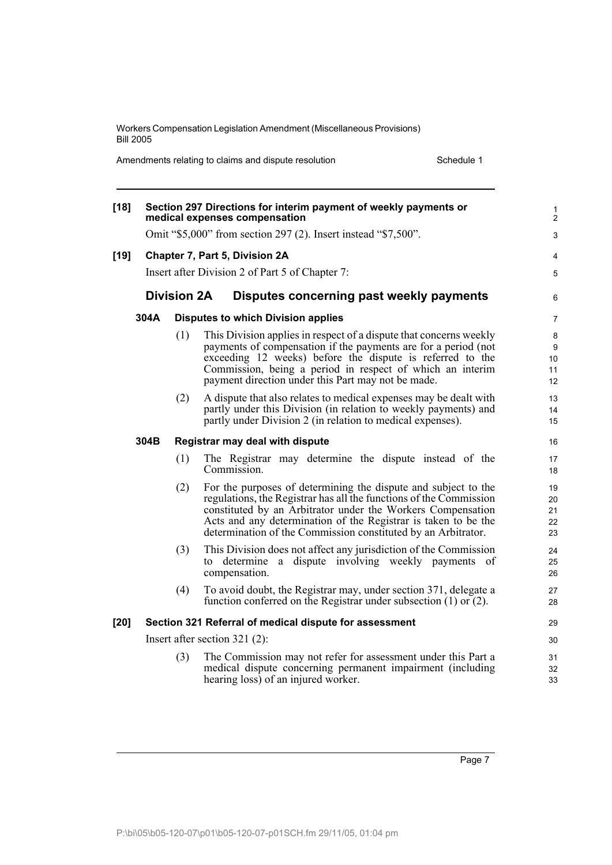Amendments relating to claims and dispute resolution Schedule 1

| $[18]$ |                                                                | Section 297 Directions for interim payment of weekly payments or<br>medical expenses compensation |                                                                                                                                                                                                                                                                                                                                        |                            |  |  |  |  |
|--------|----------------------------------------------------------------|---------------------------------------------------------------------------------------------------|----------------------------------------------------------------------------------------------------------------------------------------------------------------------------------------------------------------------------------------------------------------------------------------------------------------------------------------|----------------------------|--|--|--|--|
|        | Omit "\$5,000" from section 297 (2). Insert instead "\$7,500". |                                                                                                   |                                                                                                                                                                                                                                                                                                                                        |                            |  |  |  |  |
| $[19]$ |                                                                |                                                                                                   | Chapter 7, Part 5, Division 2A                                                                                                                                                                                                                                                                                                         | 4                          |  |  |  |  |
|        |                                                                |                                                                                                   | Insert after Division 2 of Part 5 of Chapter 7:                                                                                                                                                                                                                                                                                        | 5                          |  |  |  |  |
|        |                                                                | <b>Division 2A</b>                                                                                | Disputes concerning past weekly payments                                                                                                                                                                                                                                                                                               | 6                          |  |  |  |  |
|        | 304A                                                           |                                                                                                   | <b>Disputes to which Division applies</b>                                                                                                                                                                                                                                                                                              | 7                          |  |  |  |  |
|        |                                                                | (1)                                                                                               | This Division applies in respect of a dispute that concerns weekly<br>payments of compensation if the payments are for a period (not<br>exceeding 12 weeks) before the dispute is referred to the<br>Commission, being a period in respect of which an interim<br>payment direction under this Part may not be made.                   | 8<br>9<br>10<br>11<br>12   |  |  |  |  |
|        |                                                                | (2)                                                                                               | A dispute that also relates to medical expenses may be dealt with<br>partly under this Division (in relation to weekly payments) and<br>partly under Division 2 (in relation to medical expenses).                                                                                                                                     | 13<br>14<br>15             |  |  |  |  |
|        | 304B                                                           |                                                                                                   | Registrar may deal with dispute                                                                                                                                                                                                                                                                                                        | 16                         |  |  |  |  |
|        |                                                                | (1)                                                                                               | The Registrar may determine the dispute instead of the<br>Commission.                                                                                                                                                                                                                                                                  | 17<br>18                   |  |  |  |  |
|        |                                                                | (2)                                                                                               | For the purposes of determining the dispute and subject to the<br>regulations, the Registrar has all the functions of the Commission<br>constituted by an Arbitrator under the Workers Compensation<br>Acts and any determination of the Registrar is taken to be the<br>determination of the Commission constituted by an Arbitrator. | 19<br>20<br>21<br>22<br>23 |  |  |  |  |
|        |                                                                | (3)                                                                                               | This Division does not affect any jurisdiction of the Commission<br>to determine a dispute involving weekly payments of<br>compensation.                                                                                                                                                                                               | 24<br>25<br>26             |  |  |  |  |
|        |                                                                | (4)                                                                                               | To avoid doubt, the Registrar may, under section 371, delegate a<br>function conferred on the Registrar under subsection $(1)$ or $(2)$ .                                                                                                                                                                                              | 27<br>28                   |  |  |  |  |
| $[20]$ |                                                                |                                                                                                   | Section 321 Referral of medical dispute for assessment                                                                                                                                                                                                                                                                                 | 29                         |  |  |  |  |
|        |                                                                |                                                                                                   | Insert after section $321(2)$ :                                                                                                                                                                                                                                                                                                        | 30                         |  |  |  |  |
|        |                                                                | (3)                                                                                               | The Commission may not refer for assessment under this Part a<br>medical dispute concerning permanent impairment (including<br>hearing loss) of an injured worker.                                                                                                                                                                     | 31<br>32<br>33             |  |  |  |  |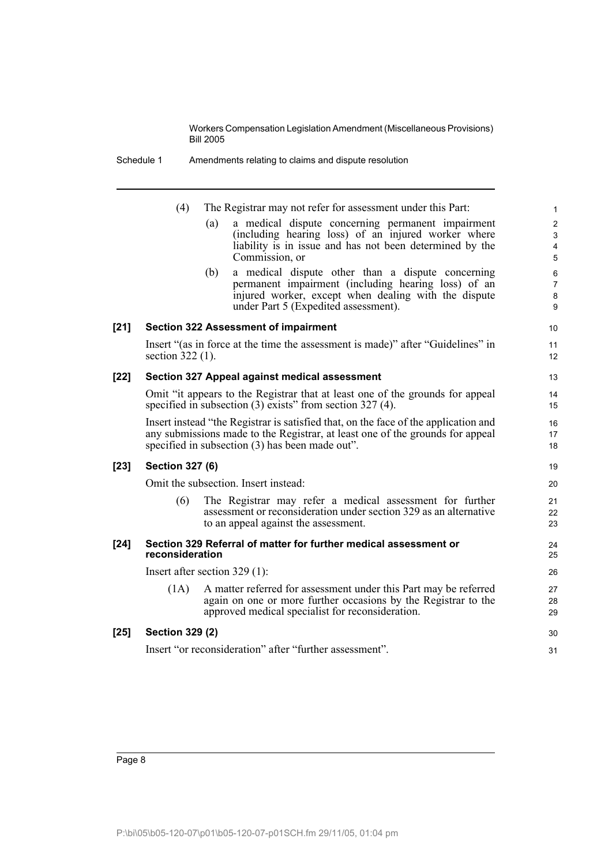Schedule 1 Amendments relating to claims and dispute resolution

(4) The Registrar may not refer for assessment under this Part:

(a) a medical dispute concerning permanent impairment (including hearing loss) of an injured worker where liability is in issue and has not been determined by the Commission, or

10 11 12

30 31

(b) a medical dispute other than a dispute concerning permanent impairment (including hearing loss) of an injured worker, except when dealing with the dispute under Part 5 (Expedited assessment).

### **[21] Section 322 Assessment of impairment**

Insert "(as in force at the time the assessment is made)" after "Guidelines" in section 322 (1).

### **[22] Section 327 Appeal against medical assessment**

Omit "it appears to the Registrar that at least one of the grounds for appeal specified in subsection (3) exists" from section 327 (4).

Insert instead "the Registrar is satisfied that, on the face of the application and any submissions made to the Registrar, at least one of the grounds for appeal specified in subsection (3) has been made out".

### **[23] Section 327 (6)**

Omit the subsection. Insert instead:

(6) The Registrar may refer a medical assessment for further assessment or reconsideration under section 329 as an alternative to an appeal against the assessment.

#### **[24] Section 329 Referral of matter for further medical assessment or reconsideration**

Insert after section 329 (1):

(1A) A matter referred for assessment under this Part may be referred again on one or more further occasions by the Registrar to the approved medical specialist for reconsideration.

### **[25] Section 329 (2)**

Insert "or reconsideration" after "further assessment".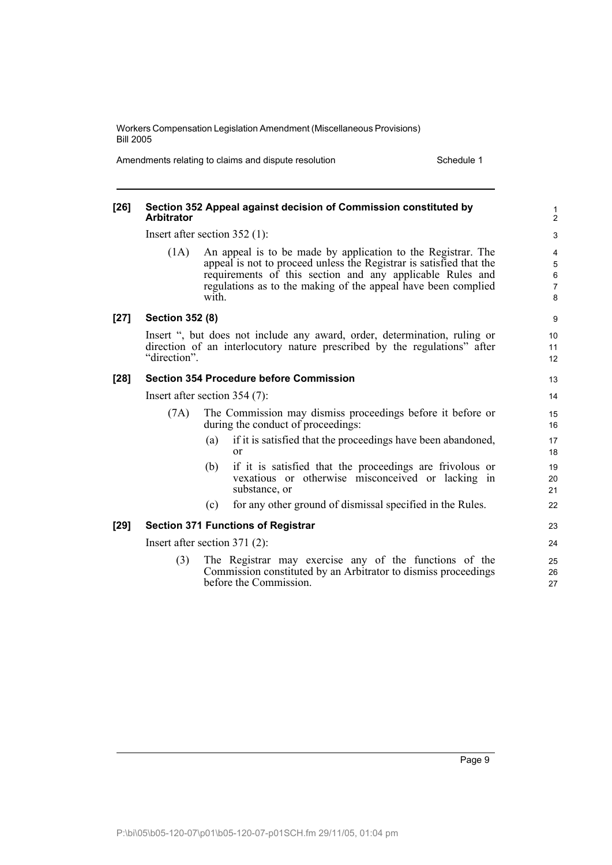Amendments relating to claims and dispute resolution Schedule 1

| $[26]$ | Section 352 Appeal against decision of Commission constituted by<br><b>Arbitrator</b>                                                                                  |                                                                                                                                                                                                                                                                            |                       |  |  |  |  |
|--------|------------------------------------------------------------------------------------------------------------------------------------------------------------------------|----------------------------------------------------------------------------------------------------------------------------------------------------------------------------------------------------------------------------------------------------------------------------|-----------------------|--|--|--|--|
|        |                                                                                                                                                                        | Insert after section $352$ (1):                                                                                                                                                                                                                                            | 3                     |  |  |  |  |
|        | (1A)                                                                                                                                                                   | An appeal is to be made by application to the Registrar. The<br>appeal is not to proceed unless the Registrar is satisfied that the<br>requirements of this section and any applicable Rules and<br>regulations as to the making of the appeal have been complied<br>with. | 4<br>5<br>6<br>7<br>8 |  |  |  |  |
| $[27]$ | <b>Section 352 (8)</b>                                                                                                                                                 |                                                                                                                                                                                                                                                                            | 9                     |  |  |  |  |
|        | Insert ", but does not include any award, order, determination, ruling or<br>direction of an interlocutory nature prescribed by the regulations" after<br>"direction". |                                                                                                                                                                                                                                                                            |                       |  |  |  |  |
| $[28]$ | <b>Section 354 Procedure before Commission</b>                                                                                                                         |                                                                                                                                                                                                                                                                            |                       |  |  |  |  |
|        |                                                                                                                                                                        | Insert after section $354(7)$ :                                                                                                                                                                                                                                            |                       |  |  |  |  |
|        | (7A)                                                                                                                                                                   | The Commission may dismiss proceedings before it before or<br>during the conduct of proceedings:                                                                                                                                                                           |                       |  |  |  |  |
|        |                                                                                                                                                                        | if it is satisfied that the proceedings have been abandoned,<br>(a)<br><sub>or</sub>                                                                                                                                                                                       | 17<br>18              |  |  |  |  |
|        |                                                                                                                                                                        | if it is satisfied that the proceedings are frivolous or<br>(b)<br>vexatious or otherwise misconceived or lacking in<br>substance, or                                                                                                                                      | 19<br>20<br>21        |  |  |  |  |
|        |                                                                                                                                                                        | for any other ground of dismissal specified in the Rules.<br>(c)                                                                                                                                                                                                           | 22                    |  |  |  |  |
| $[29]$ |                                                                                                                                                                        | <b>Section 371 Functions of Registrar</b>                                                                                                                                                                                                                                  | 23                    |  |  |  |  |
|        |                                                                                                                                                                        | Insert after section $371(2)$ :                                                                                                                                                                                                                                            | 24                    |  |  |  |  |
|        | (3)                                                                                                                                                                    | The Registrar may exercise any of the functions of the<br>Commission constituted by an Arbitrator to dismiss proceedings<br>before the Commission.                                                                                                                         | 25<br>26<br>27        |  |  |  |  |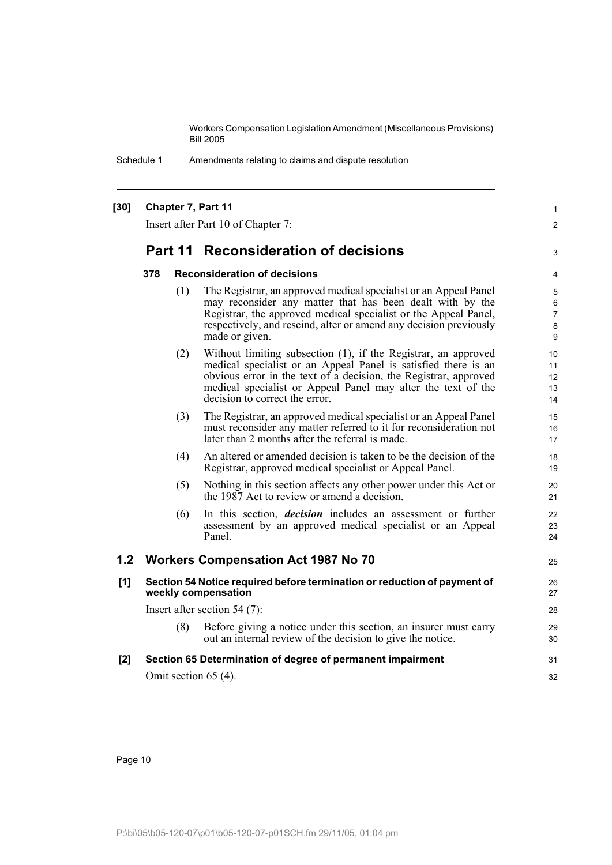> 1  $\mathfrak{p}$

3

25

32

Schedule 1 Amendments relating to claims and dispute resolution

### **[30] Chapter 7, Part 11**

Insert after Part 10 of Chapter 7:

# **Part 11 Reconsideration of decisions**

### **378 Reconsideration of decisions**

- (1) The Registrar, an approved medical specialist or an Appeal Panel may reconsider any matter that has been dealt with by the Registrar, the approved medical specialist or the Appeal Panel, respectively, and rescind, alter or amend any decision previously made or given.
- (2) Without limiting subsection (1), if the Registrar, an approved medical specialist or an Appeal Panel is satisfied there is an obvious error in the text of a decision, the Registrar, approved medical specialist or Appeal Panel may alter the text of the decision to correct the error.
- (3) The Registrar, an approved medical specialist or an Appeal Panel must reconsider any matter referred to it for reconsideration not later than 2 months after the referral is made.
- (4) An altered or amended decision is taken to be the decision of the Registrar, approved medical specialist or Appeal Panel.
- (5) Nothing in this section affects any other power under this Act or the 1987 Act to review or amend a decision.
- (6) In this section, *decision* includes an assessment or further assessment by an approved medical specialist or an Appeal Panel.

### **1.2 Workers Compensation Act 1987 No 70**

| [1]               | Section 54 Notice required before termination or reduction of payment of<br>weekly compensation |                                                                                                                                |          |  |  |  |
|-------------------|-------------------------------------------------------------------------------------------------|--------------------------------------------------------------------------------------------------------------------------------|----------|--|--|--|
|                   | Insert after section $54(7)$ :                                                                  |                                                                                                                                |          |  |  |  |
|                   | (8)                                                                                             | Before giving a notice under this section, an insurer must carry<br>out an internal review of the decision to give the notice. | 29<br>30 |  |  |  |
| $\lceil 2 \rceil$ |                                                                                                 | Section 65 Determination of degree of permanent impairment                                                                     | 31       |  |  |  |

Omit section 65 (4).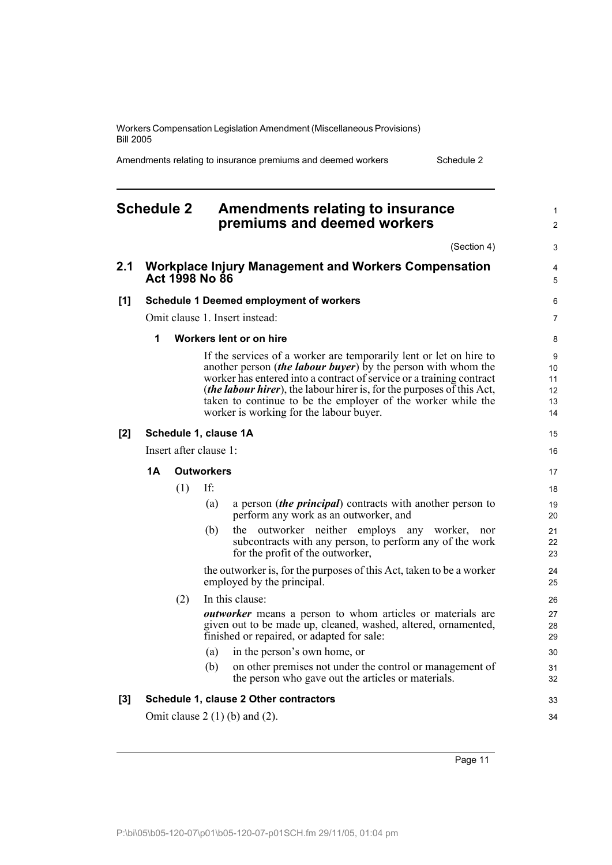Amendments relating to insurance premiums and deemed workers Schedule 2

<span id="page-24-0"></span>

| <b>Schedule 2</b> |                                                                               |     | <b>Amendments relating to insurance</b><br>premiums and deemed workers | 1<br>$\overline{\mathbf{c}}$                                                                                                                                                                                                                                                                                                                                                                                    |                                 |  |  |
|-------------------|-------------------------------------------------------------------------------|-----|------------------------------------------------------------------------|-----------------------------------------------------------------------------------------------------------------------------------------------------------------------------------------------------------------------------------------------------------------------------------------------------------------------------------------------------------------------------------------------------------------|---------------------------------|--|--|
|                   |                                                                               |     |                                                                        | (Section 4)                                                                                                                                                                                                                                                                                                                                                                                                     | 3                               |  |  |
| 2.1               | <b>Workplace Injury Management and Workers Compensation</b><br>Act 1998 No 86 |     |                                                                        |                                                                                                                                                                                                                                                                                                                                                                                                                 |                                 |  |  |
| [1]               |                                                                               |     |                                                                        | <b>Schedule 1 Deemed employment of workers</b>                                                                                                                                                                                                                                                                                                                                                                  | 6                               |  |  |
|                   |                                                                               |     |                                                                        | Omit clause 1. Insert instead:                                                                                                                                                                                                                                                                                                                                                                                  | 7                               |  |  |
|                   | 1                                                                             |     |                                                                        | Workers lent or on hire                                                                                                                                                                                                                                                                                                                                                                                         | 8                               |  |  |
|                   |                                                                               |     |                                                                        | If the services of a worker are temporarily lent or let on hire to<br>another person <i>(the labour buyer)</i> by the person with whom the<br>worker has entered into a contract of service or a training contract<br><i>(the labour hirer)</i> , the labour hirer is, for the purposes of this Act,<br>taken to continue to be the employer of the worker while the<br>worker is working for the labour buyer. | 9<br>10<br>11<br>12<br>13<br>14 |  |  |
| [2]               |                                                                               |     |                                                                        | Schedule 1, clause 1A                                                                                                                                                                                                                                                                                                                                                                                           | 15                              |  |  |
|                   | Insert after clause 1:                                                        |     |                                                                        |                                                                                                                                                                                                                                                                                                                                                                                                                 | 16                              |  |  |
|                   | 1А                                                                            |     | <b>Outworkers</b>                                                      |                                                                                                                                                                                                                                                                                                                                                                                                                 | 17                              |  |  |
|                   |                                                                               | (1) | If:                                                                    |                                                                                                                                                                                                                                                                                                                                                                                                                 | 18                              |  |  |
|                   |                                                                               |     | (a)                                                                    | a person <i>(the principal)</i> contracts with another person to<br>perform any work as an outworker, and                                                                                                                                                                                                                                                                                                       | 19<br>20                        |  |  |
|                   |                                                                               |     | (b)                                                                    | outworker neither employs any worker, nor<br>the<br>subcontracts with any person, to perform any of the work<br>for the profit of the outworker,                                                                                                                                                                                                                                                                | 21<br>22<br>23                  |  |  |
|                   |                                                                               |     |                                                                        | the outworker is, for the purposes of this Act, taken to be a worker<br>employed by the principal.                                                                                                                                                                                                                                                                                                              | 24<br>25                        |  |  |
|                   |                                                                               | (2) |                                                                        | In this clause:                                                                                                                                                                                                                                                                                                                                                                                                 | 26                              |  |  |
|                   |                                                                               |     |                                                                        | <b><i>outworker</i></b> means a person to whom articles or materials are<br>given out to be made up, cleaned, washed, altered, ornamented,<br>finished or repaired, or adapted for sale:                                                                                                                                                                                                                        | 27<br>28<br>29                  |  |  |
|                   |                                                                               |     | (a)                                                                    | in the person's own home, or                                                                                                                                                                                                                                                                                                                                                                                    | 30                              |  |  |
|                   |                                                                               |     | (b)                                                                    | on other premises not under the control or management of<br>the person who gave out the articles or materials.                                                                                                                                                                                                                                                                                                  | 31<br>32                        |  |  |
| $[3]$             |                                                                               |     |                                                                        | Schedule 1, clause 2 Other contractors                                                                                                                                                                                                                                                                                                                                                                          | 33                              |  |  |
|                   | Omit clause $2(1)(b)$ and $(2)$ .                                             |     |                                                                        |                                                                                                                                                                                                                                                                                                                                                                                                                 |                                 |  |  |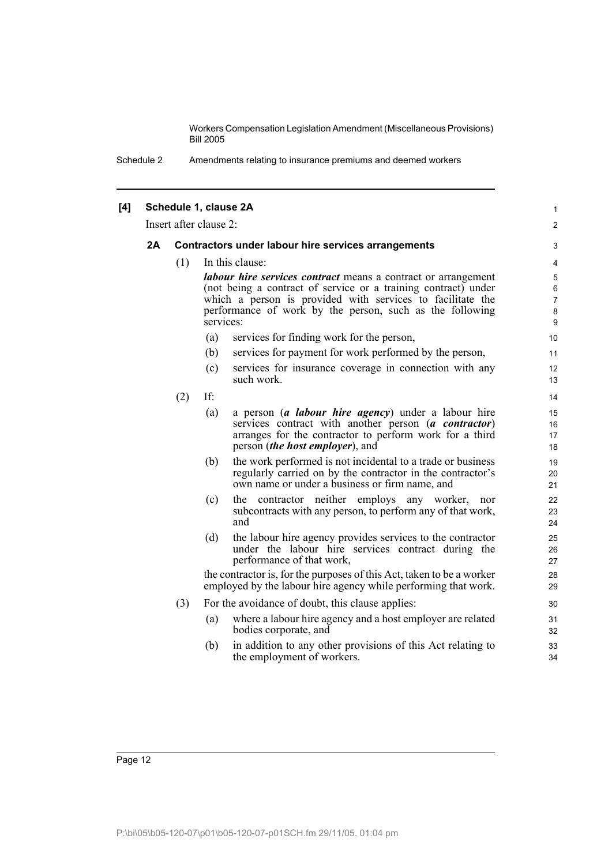Schedule 2 Amendments relating to insurance premiums and deemed workers

| 2A |     |     |                                                                                                                                                                                                                   | 3                                                                                                                                                                                                                                                                                                                                                                                                                                                                                                                                                                                                  |  |
|----|-----|-----|-------------------------------------------------------------------------------------------------------------------------------------------------------------------------------------------------------------------|----------------------------------------------------------------------------------------------------------------------------------------------------------------------------------------------------------------------------------------------------------------------------------------------------------------------------------------------------------------------------------------------------------------------------------------------------------------------------------------------------------------------------------------------------------------------------------------------------|--|
|    | (1) |     |                                                                                                                                                                                                                   | 4                                                                                                                                                                                                                                                                                                                                                                                                                                                                                                                                                                                                  |  |
|    |     |     |                                                                                                                                                                                                                   | 5<br>6<br>$\overline{7}$<br>8<br>9                                                                                                                                                                                                                                                                                                                                                                                                                                                                                                                                                                 |  |
|    |     | (a) | services for finding work for the person,                                                                                                                                                                         | 10                                                                                                                                                                                                                                                                                                                                                                                                                                                                                                                                                                                                 |  |
|    |     | (b) | services for payment for work performed by the person,                                                                                                                                                            | 11                                                                                                                                                                                                                                                                                                                                                                                                                                                                                                                                                                                                 |  |
|    |     | (c) | services for insurance coverage in connection with any<br>such work.                                                                                                                                              | 12<br>13                                                                                                                                                                                                                                                                                                                                                                                                                                                                                                                                                                                           |  |
|    | (2) | If: |                                                                                                                                                                                                                   | 14                                                                                                                                                                                                                                                                                                                                                                                                                                                                                                                                                                                                 |  |
|    |     | (a) | a person (a labour hire agency) under a labour hire<br>services contract with another person (a contractor)<br>arranges for the contractor to perform work for a third<br>person <i>(the host employer)</i> , and | 15<br>16<br>17<br>18                                                                                                                                                                                                                                                                                                                                                                                                                                                                                                                                                                               |  |
|    |     | (b) | the work performed is not incidental to a trade or business<br>regularly carried on by the contractor in the contractor's<br>own name or under a business or firm name, and                                       | 19<br>20<br>21                                                                                                                                                                                                                                                                                                                                                                                                                                                                                                                                                                                     |  |
|    |     | (c) | contractor neither employs any worker,<br>the<br>nor<br>subcontracts with any person, to perform any of that work,<br>and                                                                                         | 22<br>23<br>24                                                                                                                                                                                                                                                                                                                                                                                                                                                                                                                                                                                     |  |
|    |     | (d) | the labour hire agency provides services to the contractor<br>under the labour hire services contract during the<br>performance of that work,                                                                     | 25<br>26<br>27                                                                                                                                                                                                                                                                                                                                                                                                                                                                                                                                                                                     |  |
|    |     |     |                                                                                                                                                                                                                   | 28<br>29                                                                                                                                                                                                                                                                                                                                                                                                                                                                                                                                                                                           |  |
|    | (3) |     |                                                                                                                                                                                                                   | 30                                                                                                                                                                                                                                                                                                                                                                                                                                                                                                                                                                                                 |  |
|    |     | (a) | where a labour hire agency and a host employer are related<br>bodies corporate, and                                                                                                                               | 31<br>32                                                                                                                                                                                                                                                                                                                                                                                                                                                                                                                                                                                           |  |
|    |     | (b) | in addition to any other provisions of this Act relating to<br>the employment of workers.                                                                                                                         | 33<br>34                                                                                                                                                                                                                                                                                                                                                                                                                                                                                                                                                                                           |  |
|    |     |     |                                                                                                                                                                                                                   | Schedule 1, clause 2A<br>Insert after clause 2:<br>Contractors under labour hire services arrangements<br>In this clause:<br>labour hire services contract means a contract or arrangement<br>(not being a contract of service or a training contract) under<br>which a person is provided with services to facilitate the<br>performance of work by the person, such as the following<br>services:<br>the contractor is, for the purposes of this Act, taken to be a worker<br>employed by the labour hire agency while performing that work.<br>For the avoidance of doubt, this clause applies: |  |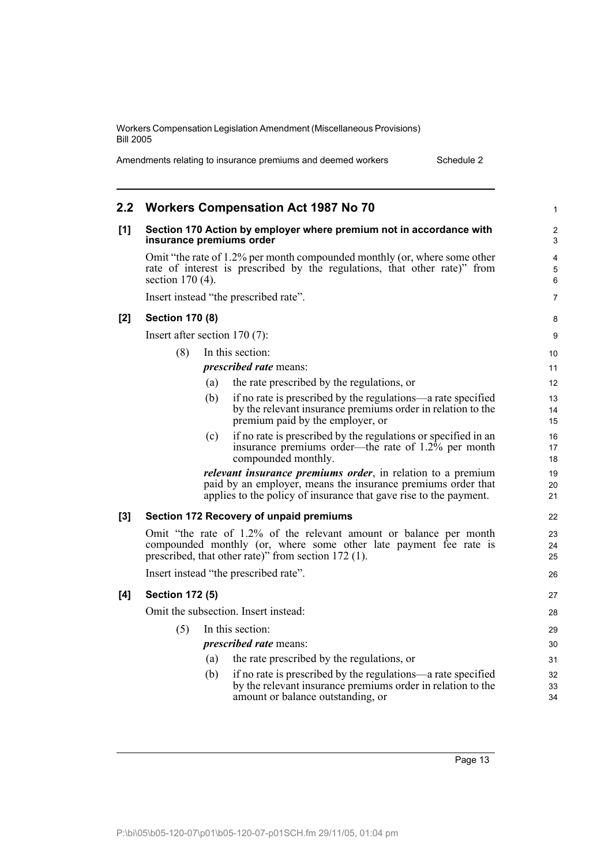Amendments relating to insurance premiums and deemed workers Schedule 2

| 2.2   |                                      |     | <b>Workers Compensation Act 1987 No 70</b>                                                                                                                                                               | 1                        |
|-------|--------------------------------------|-----|----------------------------------------------------------------------------------------------------------------------------------------------------------------------------------------------------------|--------------------------|
| [1]   |                                      |     | Section 170 Action by employer where premium not in accordance with<br>insurance premiums order                                                                                                          | 2<br>3                   |
|       | section $170(4)$ .                   |     | Omit "the rate of 1.2% per month compounded monthly (or, where some other<br>rate of interest is prescribed by the regulations, that other rate)" from                                                   | $\overline{4}$<br>5<br>6 |
|       |                                      |     | Insert instead "the prescribed rate".                                                                                                                                                                    | 7                        |
| [2]   | <b>Section 170 (8)</b>               |     |                                                                                                                                                                                                          | 8                        |
|       | Insert after section $170(7)$ :      |     |                                                                                                                                                                                                          | 9                        |
|       | (8)                                  |     | In this section:                                                                                                                                                                                         | 10                       |
|       |                                      |     | <i>prescribed rate</i> means:                                                                                                                                                                            | 11                       |
|       |                                      | (a) | the rate prescribed by the regulations, or                                                                                                                                                               | $12 \overline{ }$        |
|       |                                      | (b) | if no rate is prescribed by the regulations—a rate specified<br>by the relevant insurance premiums order in relation to the<br>premium paid by the employer, or                                          | 13<br>14<br>15           |
|       |                                      | (c) | if no rate is prescribed by the regulations or specified in an<br>insurance premiums order—the rate of 1.2% per month<br>compounded monthly.                                                             | 16<br>17<br>18           |
|       |                                      |     | <i>relevant insurance premiums order</i> , in relation to a premium<br>paid by an employer, means the insurance premiums order that<br>applies to the policy of insurance that gave rise to the payment. | 19<br>20<br>21           |
| $[3]$ |                                      |     | Section 172 Recovery of unpaid premiums                                                                                                                                                                  | 22                       |
|       |                                      |     | Omit "the rate of 1.2% of the relevant amount or balance per month<br>compounded monthly (or, where some other late payment fee rate is<br>prescribed, that other rate)" from section 172 (1).           | 23<br>24<br>25           |
|       |                                      |     | Insert instead "the prescribed rate".                                                                                                                                                                    | 26                       |
| [4]   | <b>Section 172 (5)</b>               |     |                                                                                                                                                                                                          | 27                       |
|       | Omit the subsection. Insert instead: |     |                                                                                                                                                                                                          |                          |
|       | (5)                                  |     | In this section:                                                                                                                                                                                         | 29                       |
|       |                                      |     | <i>prescribed rate</i> means:                                                                                                                                                                            | 30                       |
|       |                                      | (a) | the rate prescribed by the regulations, or                                                                                                                                                               | 31                       |
|       |                                      | (b) | if no rate is prescribed by the regulations—a rate specified<br>by the relevant insurance premiums order in relation to the<br>amount or balance outstanding, or                                         | 32<br>33<br>34           |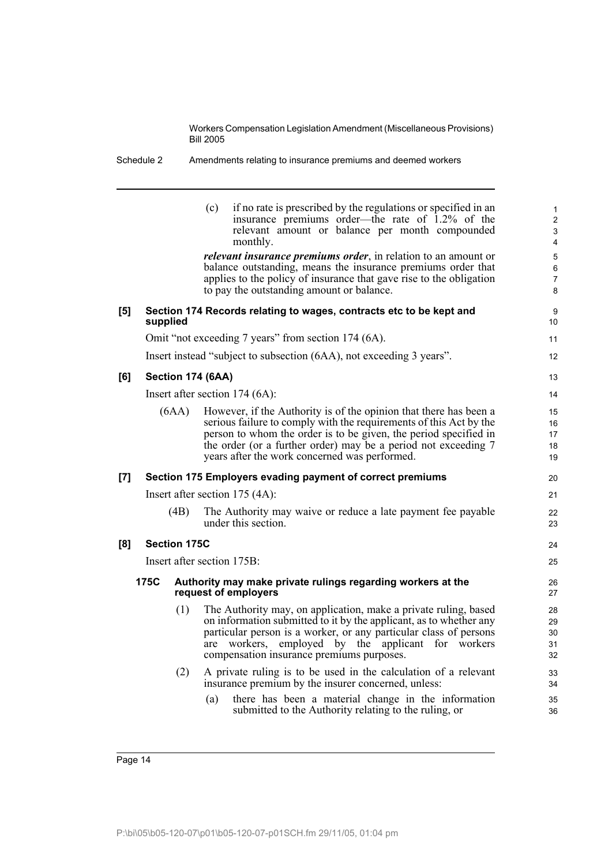Schedule 2 Amendments relating to insurance premiums and deemed workers

|     |                     |       | (c)<br>if no rate is prescribed by the regulations or specified in an<br>insurance premiums order—the rate of 1.2% of the<br>relevant amount or balance per month compounded<br>monthly.                                                                                                                                       | 1<br>$\overline{c}$<br>3<br>$\overline{\mathbf{4}}$ |
|-----|---------------------|-------|--------------------------------------------------------------------------------------------------------------------------------------------------------------------------------------------------------------------------------------------------------------------------------------------------------------------------------|-----------------------------------------------------|
|     |                     |       | <i>relevant insurance premiums order</i> , in relation to an amount or<br>balance outstanding, means the insurance premiums order that<br>applies to the policy of insurance that gave rise to the obligation<br>to pay the outstanding amount or balance.                                                                     | $\mathbf 5$<br>6<br>$\overline{7}$<br>8             |
| [5] | supplied            |       | Section 174 Records relating to wages, contracts etc to be kept and                                                                                                                                                                                                                                                            | 9<br>10                                             |
|     |                     |       | Omit "not exceeding 7 years" from section 174 (6A).                                                                                                                                                                                                                                                                            | 11                                                  |
|     |                     |       | Insert instead "subject to subsection (6AA), not exceeding 3 years".                                                                                                                                                                                                                                                           | 12                                                  |
| [6] |                     |       | Section 174 (6AA)                                                                                                                                                                                                                                                                                                              | 13                                                  |
|     |                     |       | Insert after section 174 (6A):                                                                                                                                                                                                                                                                                                 | 14                                                  |
|     |                     | (6AA) | However, if the Authority is of the opinion that there has been a<br>serious failure to comply with the requirements of this Act by the<br>person to whom the order is to be given, the period specified in<br>the order (or a further order) may be a period not exceeding 7<br>years after the work concerned was performed. | 15<br>16<br>17<br>18<br>19                          |
| [7] |                     |       | Section 175 Employers evading payment of correct premiums                                                                                                                                                                                                                                                                      | 20                                                  |
|     |                     |       | Insert after section 175 (4A):                                                                                                                                                                                                                                                                                                 | 21                                                  |
|     |                     | (4B)  | The Authority may waive or reduce a late payment fee payable<br>under this section.                                                                                                                                                                                                                                            | 22<br>23                                            |
| [8] | <b>Section 175C</b> |       |                                                                                                                                                                                                                                                                                                                                | 24                                                  |
|     |                     |       | Insert after section 175B:                                                                                                                                                                                                                                                                                                     | 25                                                  |
|     | 175C                |       | Authority may make private rulings regarding workers at the<br>request of employers                                                                                                                                                                                                                                            | 26<br>27                                            |
|     |                     | (1)   | The Authority may, on application, make a private ruling, based<br>on information submitted to it by the applicant, as to whether any<br>particular person is a worker, or any particular class of persons<br>workers, employed<br>by the<br>applicant<br>for<br>workers<br>are<br>compensation insurance premiums purposes.   | 28<br>29<br>30<br>31<br>32                          |
|     |                     | (2)   | A private ruling is to be used in the calculation of a relevant<br>insurance premium by the insurer concerned, unless:<br>(a)<br>there has been a material change in the information<br>submitted to the Authority relating to the ruling, or                                                                                  | 33<br>34<br>35<br>36                                |
|     |                     |       |                                                                                                                                                                                                                                                                                                                                |                                                     |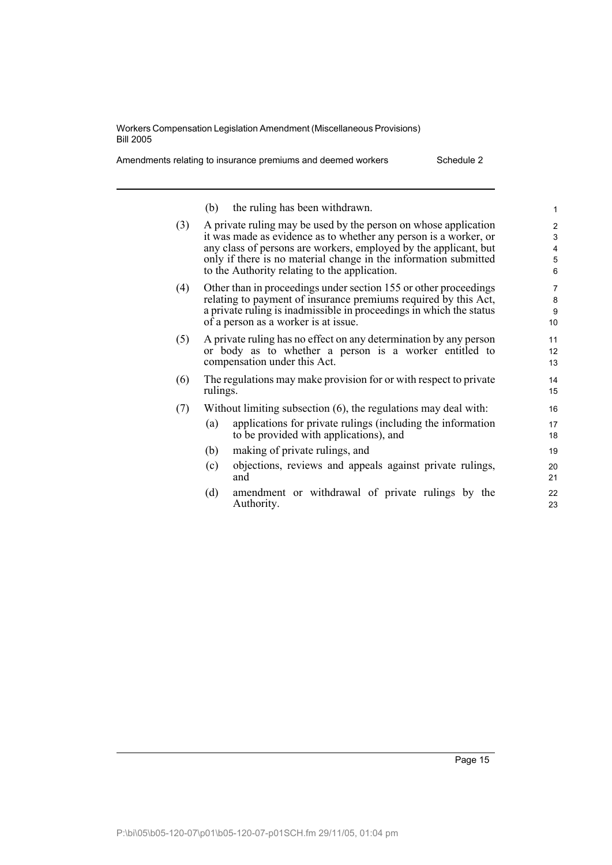Amendments relating to insurance premiums and deemed workers Schedule 2

|     | (b)      | the ruling has been withdrawn.                                                                                                                                                                                                                     | $\mathbf{1}$                   |
|-----|----------|----------------------------------------------------------------------------------------------------------------------------------------------------------------------------------------------------------------------------------------------------|--------------------------------|
| (3) |          | A private ruling may be used by the person on whose application<br>it was made as evidence as to whether any person is a worker, or<br>any class of persons are workers, employed by the applicant, but                                            | $\overline{2}$<br>3<br>4       |
|     |          | only if there is no material change in the information submitted<br>to the Authority relating to the application.                                                                                                                                  | 5<br>6                         |
| (4) |          | Other than in proceedings under section 155 or other proceedings<br>relating to payment of insurance premiums required by this Act,<br>a private ruling is inadmissible in proceedings in which the status<br>of a person as a worker is at issue. | $\overline{7}$<br>8<br>9<br>10 |
| (5) |          | A private ruling has no effect on any determination by any person<br>or body as to whether a person is a worker entitled to<br>compensation under this Act.                                                                                        | 11<br>12<br>13                 |
| (6) | rulings. | The regulations may make provision for or with respect to private                                                                                                                                                                                  | 14<br>15                       |
| (7) |          | Without limiting subsection $(6)$ , the regulations may deal with:                                                                                                                                                                                 | 16                             |
|     | (a)      | applications for private rulings (including the information<br>to be provided with applications), and                                                                                                                                              | 17<br>18                       |
|     | (b)      | making of private rulings, and                                                                                                                                                                                                                     | 19                             |
|     | (c)      | objections, reviews and appeals against private rulings,<br>and                                                                                                                                                                                    | 20<br>21                       |
|     | (d)      | amendment or withdrawal of private rulings by the<br>Authority.                                                                                                                                                                                    | 22<br>23                       |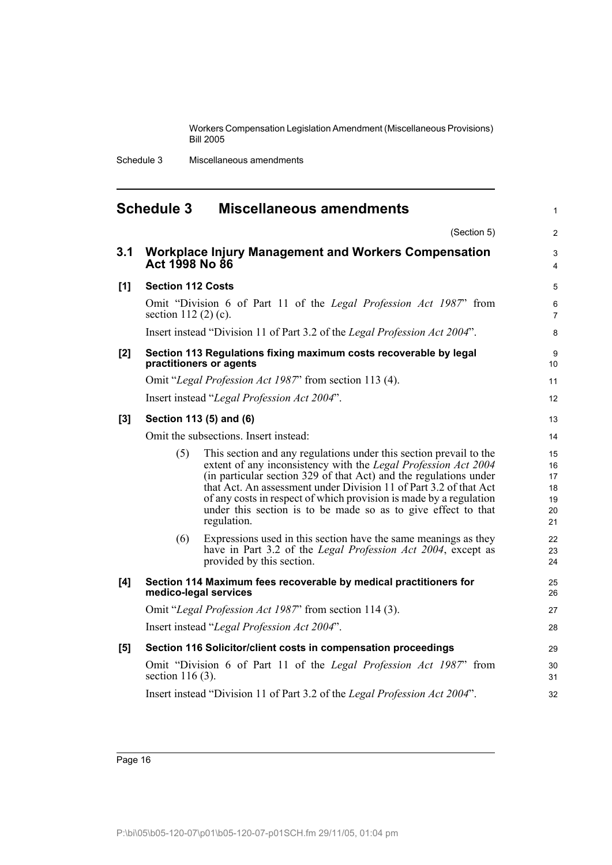Schedule 3 Miscellaneous amendments

<span id="page-29-0"></span>

|       | <b>Schedule 3</b>         | <b>Miscellaneous amendments</b>                                                                                                                                                                                                                                                                                                                                                                                                      | 1                                      |
|-------|---------------------------|--------------------------------------------------------------------------------------------------------------------------------------------------------------------------------------------------------------------------------------------------------------------------------------------------------------------------------------------------------------------------------------------------------------------------------------|----------------------------------------|
|       |                           | (Section 5)                                                                                                                                                                                                                                                                                                                                                                                                                          | $\overline{2}$                         |
| 3.1   | Act 1998 No 86            | <b>Workplace Injury Management and Workers Compensation</b>                                                                                                                                                                                                                                                                                                                                                                          | 3<br>4                                 |
| [1]   | <b>Section 112 Costs</b>  |                                                                                                                                                                                                                                                                                                                                                                                                                                      | 5                                      |
|       | section 112 $(2)$ $(c)$ . | Omit "Division 6 of Part 11 of the Legal Profession Act 1987" from                                                                                                                                                                                                                                                                                                                                                                   | 6<br>$\overline{7}$                    |
|       |                           | Insert instead "Division 11 of Part 3.2 of the Legal Profession Act 2004".                                                                                                                                                                                                                                                                                                                                                           | 8                                      |
| $[2]$ |                           | Section 113 Regulations fixing maximum costs recoverable by legal<br>practitioners or agents                                                                                                                                                                                                                                                                                                                                         | 9<br>10                                |
|       |                           | Omit "Legal Profession Act 1987" from section 113 (4).                                                                                                                                                                                                                                                                                                                                                                               | 11                                     |
|       |                           | Insert instead "Legal Profession Act 2004".                                                                                                                                                                                                                                                                                                                                                                                          | 12                                     |
| $[3]$ |                           | Section 113 (5) and (6)                                                                                                                                                                                                                                                                                                                                                                                                              | 13                                     |
|       |                           | Omit the subsections. Insert instead:                                                                                                                                                                                                                                                                                                                                                                                                | 14                                     |
|       | (5)                       | This section and any regulations under this section prevail to the<br>extent of any inconsistency with the Legal Profession Act 2004<br>(in particular section 329 of that Act) and the regulations under<br>that Act. An assessment under Division 11 of Part 3.2 of that Act<br>of any costs in respect of which provision is made by a regulation<br>under this section is to be made so as to give effect to that<br>regulation. | 15<br>16<br>17<br>18<br>19<br>20<br>21 |
|       | (6)                       | Expressions used in this section have the same meanings as they<br>have in Part 3.2 of the Legal Profession Act 2004, except as<br>provided by this section.                                                                                                                                                                                                                                                                         | 22<br>23<br>24                         |
| [4]   |                           | Section 114 Maximum fees recoverable by medical practitioners for<br>medico-legal services                                                                                                                                                                                                                                                                                                                                           | 25<br>26                               |
|       |                           | Omit "Legal Profession Act 1987" from section 114 (3).                                                                                                                                                                                                                                                                                                                                                                               | 27                                     |
|       |                           | Insert instead "Legal Profession Act 2004".                                                                                                                                                                                                                                                                                                                                                                                          | 28                                     |
| [5]   |                           | Section 116 Solicitor/client costs in compensation proceedings                                                                                                                                                                                                                                                                                                                                                                       | 29                                     |
|       | section 116 $(3)$ .       | Omit "Division 6 of Part 11 of the Legal Profession Act 1987" from                                                                                                                                                                                                                                                                                                                                                                   | 30<br>31                               |
|       |                           | Insert instead "Division 11 of Part 3.2 of the Legal Profession Act 2004".                                                                                                                                                                                                                                                                                                                                                           | 32                                     |
|       |                           |                                                                                                                                                                                                                                                                                                                                                                                                                                      |                                        |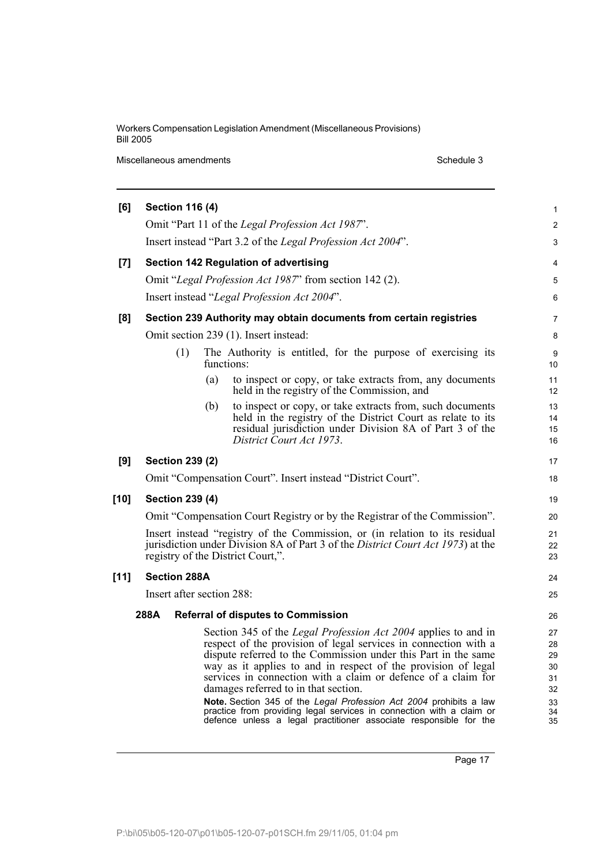Miscellaneous amendments **Schedule 3** Schedule 3

| [6]    | <b>Section 116 (4)</b>    |     |                                                                                                                                                                                                                  | $\mathbf{1}$         |
|--------|---------------------------|-----|------------------------------------------------------------------------------------------------------------------------------------------------------------------------------------------------------------------|----------------------|
|        |                           |     | Omit "Part 11 of the Legal Profession Act 1987".                                                                                                                                                                 | 2                    |
|        |                           |     | Insert instead "Part 3.2 of the Legal Profession Act 2004".                                                                                                                                                      | 3                    |
| $[7]$  |                           |     | <b>Section 142 Regulation of advertising</b>                                                                                                                                                                     | 4                    |
|        |                           |     | Omit "Legal Profession Act 1987" from section 142 (2).                                                                                                                                                           | 5                    |
|        |                           |     | Insert instead "Legal Profession Act 2004".                                                                                                                                                                      | 6                    |
| [8]    |                           |     | Section 239 Authority may obtain documents from certain registries                                                                                                                                               | $\overline{7}$       |
|        |                           |     | Omit section 239 (1). Insert instead:                                                                                                                                                                            | 8                    |
|        | (1)                       |     | The Authority is entitled, for the purpose of exercising its<br>functions:                                                                                                                                       | 9<br>10              |
|        |                           | (a) | to inspect or copy, or take extracts from, any documents<br>held in the registry of the Commission, and                                                                                                          | 11<br>12             |
|        |                           | (b) | to inspect or copy, or take extracts from, such documents<br>held in the registry of the District Court as relate to its<br>residual jurisdiction under Division 8A of Part 3 of the<br>District Court Act 1973. | 13<br>14<br>15<br>16 |
| [9]    | <b>Section 239 (2)</b>    |     |                                                                                                                                                                                                                  | 17                   |
|        |                           |     | Omit "Compensation Court". Insert instead "District Court".                                                                                                                                                      | 18                   |
| $[10]$ | <b>Section 239 (4)</b>    |     |                                                                                                                                                                                                                  | 19                   |
|        |                           |     | Omit "Compensation Court Registry or by the Registrar of the Commission".                                                                                                                                        | 20                   |
|        |                           |     | Insert instead "registry of the Commission, or (in relation to its residual<br>jurisdiction under Division 8A of Part 3 of the District Court Act 1973) at the<br>registry of the District Court,".              | 21<br>22<br>23       |
| $[11]$ | <b>Section 288A</b>       |     |                                                                                                                                                                                                                  | 24                   |
|        | Insert after section 288: |     |                                                                                                                                                                                                                  | 25                   |
|        | 288A                      |     | <b>Referral of disputes to Commission</b>                                                                                                                                                                        | 26                   |
|        |                           |     | Section 345 of the <i>Legal Profession Act 2004</i> applies to and in                                                                                                                                            | 27                   |
|        |                           |     | respect of the provision of legal services in connection with a                                                                                                                                                  | 28                   |
|        |                           |     | dispute referred to the Commission under this Part in the same<br>way as it applies to and in respect of the provision of legal                                                                                  | 29<br>30             |
|        |                           |     | services in connection with a claim or defence of a claim for                                                                                                                                                    | 31                   |
|        |                           |     | damages referred to in that section.                                                                                                                                                                             | 32                   |
|        |                           |     | Note. Section 345 of the Legal Profession Act 2004 prohibits a law<br>practice from providing legal services in connection with a claim or                                                                       | 33<br>34             |
|        |                           |     | defence unless a legal practitioner associate responsible for the                                                                                                                                                | 35                   |
|        |                           |     |                                                                                                                                                                                                                  |                      |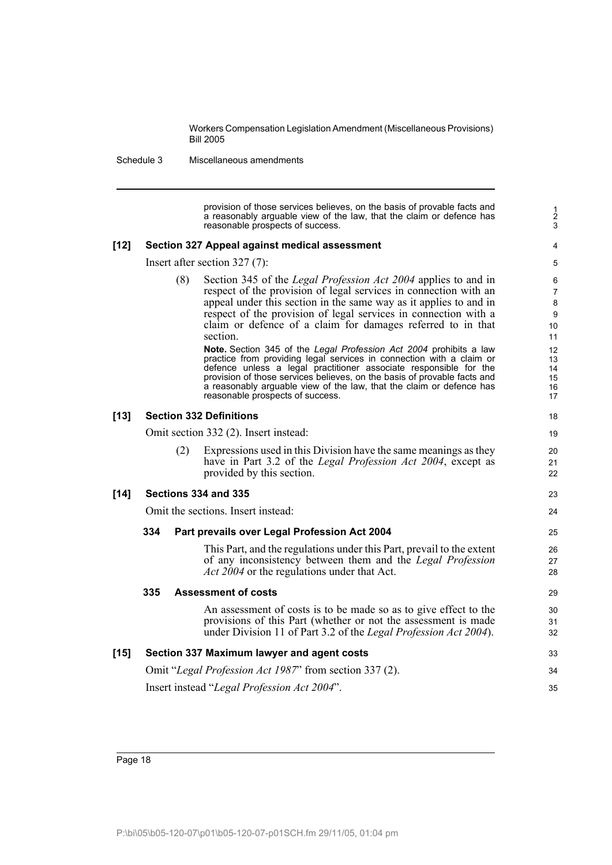Schedule 3 Miscellaneous amendments

provision of those services believes, on the basis of provable facts and a reasonably arguable view of the law, that the claim or defence has reasonable prospects of success.

### **[12] Section 327 Appeal against medical assessment**

Insert after section 327 (7):

(8) Section 345 of the *Legal Profession Act 2004* applies to and in respect of the provision of legal services in connection with an appeal under this section in the same way as it applies to and in respect of the provision of legal services in connection with a claim or defence of a claim for damages referred to in that section.

**Note.** Section 345 of the *Legal Profession Act 2004* prohibits a law practice from providing legal services in connection with a claim or defence unless a legal practitioner associate responsible for the provision of those services believes, on the basis of provable facts and a reasonably arguable view of the law, that the claim or defence has reasonable prospects of success.

#### **[13] Section 332 Definitions**

Omit section 332 (2). Insert instead:

(2) Expressions used in this Division have the same meanings as they have in Part 3.2 of the *Legal Profession Act 2004*, except as provided by this section.

### **[14] Sections 334 and 335**

Omit the sections. Insert instead:

### **334 Part prevails over Legal Profession Act 2004**

This Part, and the regulations under this Part, prevail to the extent of any inconsistency between them and the *Legal Profession Act 2004* or the regulations under that Act.

**335 Assessment of costs** An assessment of costs is to be made so as to give effect to the provisions of this Part (whether or not the assessment is made under Division 11 of Part 3.2 of the *Legal Profession Act 2004*).

#### **[15] Section 337 Maximum lawyer and agent costs** Omit "*Legal Profession Act 1987*" from section 337 (2). 33 34 35

Insert instead "*Legal Profession Act 2004*".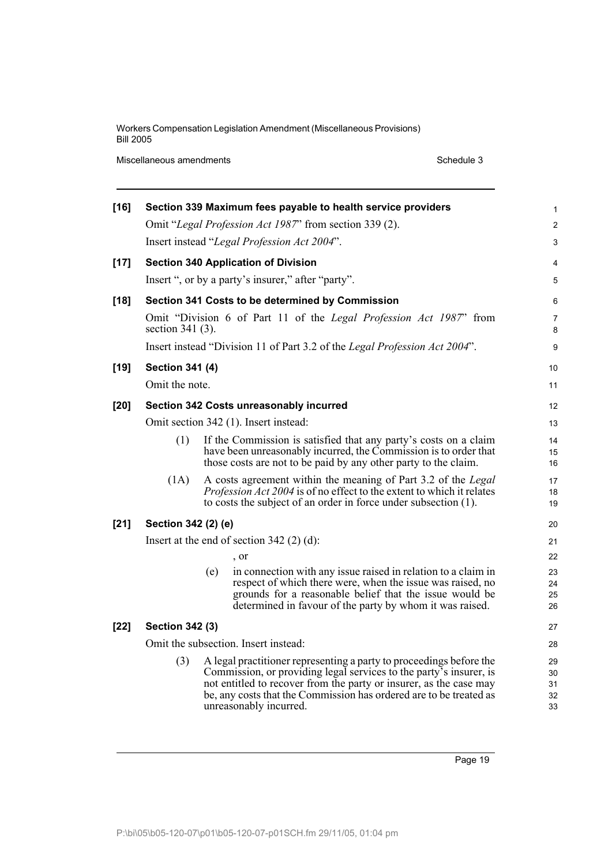Miscellaneous amendments **Schedule 3** Schedule 3

| $[16]$ |                                                | Section 339 Maximum fees payable to health service providers                                                                                                                                                                                                                                                    | 1                          |  |  |
|--------|------------------------------------------------|-----------------------------------------------------------------------------------------------------------------------------------------------------------------------------------------------------------------------------------------------------------------------------------------------------------------|----------------------------|--|--|
|        |                                                | Omit "Legal Profession Act 1987" from section 339 (2).                                                                                                                                                                                                                                                          | $\overline{\mathbf{c}}$    |  |  |
|        |                                                | Insert instead "Legal Profession Act 2004".                                                                                                                                                                                                                                                                     | 3                          |  |  |
| $[17]$ |                                                | <b>Section 340 Application of Division</b>                                                                                                                                                                                                                                                                      | 4                          |  |  |
|        |                                                | Insert ", or by a party's insurer," after "party".                                                                                                                                                                                                                                                              | 5                          |  |  |
| $[18]$ |                                                | Section 341 Costs to be determined by Commission                                                                                                                                                                                                                                                                | 6                          |  |  |
|        | section 341 (3).                               | Omit "Division 6 of Part 11 of the Legal Profession Act 1987" from                                                                                                                                                                                                                                              | 7<br>8                     |  |  |
|        |                                                | Insert instead "Division 11 of Part 3.2 of the Legal Profession Act 2004".                                                                                                                                                                                                                                      | 9                          |  |  |
| $[19]$ | <b>Section 341 (4)</b>                         |                                                                                                                                                                                                                                                                                                                 | 10                         |  |  |
|        | Omit the note.                                 |                                                                                                                                                                                                                                                                                                                 | 11                         |  |  |
| $[20]$ | <b>Section 342 Costs unreasonably incurred</b> |                                                                                                                                                                                                                                                                                                                 |                            |  |  |
|        | Omit section 342 (1). Insert instead:          |                                                                                                                                                                                                                                                                                                                 |                            |  |  |
|        | (1)                                            | If the Commission is satisfied that any party's costs on a claim<br>have been unreasonably incurred, the Commission is to order that<br>those costs are not to be paid by any other party to the claim.                                                                                                         | 14<br>15<br>16             |  |  |
|        | (1A)                                           | A costs agreement within the meaning of Part 3.2 of the Legal<br><i>Profession Act 2004</i> is of no effect to the extent to which it relates<br>to costs the subject of an order in force under subsection (1).                                                                                                | 17<br>18<br>19             |  |  |
| $[21]$ | Section 342 (2) (e)                            |                                                                                                                                                                                                                                                                                                                 | 20                         |  |  |
|        |                                                | Insert at the end of section $342$ (2) (d):                                                                                                                                                                                                                                                                     | 21                         |  |  |
|        |                                                | , or                                                                                                                                                                                                                                                                                                            | 22                         |  |  |
|        |                                                | in connection with any issue raised in relation to a claim in<br>(e)<br>respect of which there were, when the issue was raised, no<br>grounds for a reasonable belief that the issue would be<br>determined in favour of the party by whom it was raised.                                                       | 23<br>24<br>25<br>26       |  |  |
| $[22]$ | <b>Section 342 (3)</b>                         |                                                                                                                                                                                                                                                                                                                 | 27                         |  |  |
|        | Omit the subsection. Insert instead:           |                                                                                                                                                                                                                                                                                                                 |                            |  |  |
|        | (3)                                            | A legal practitioner representing a party to proceedings before the<br>Commission, or providing legal services to the party's insurer, is<br>not entitled to recover from the party or insurer, as the case may<br>be, any costs that the Commission has ordered are to be treated as<br>unreasonably incurred. | 29<br>30<br>31<br>32<br>33 |  |  |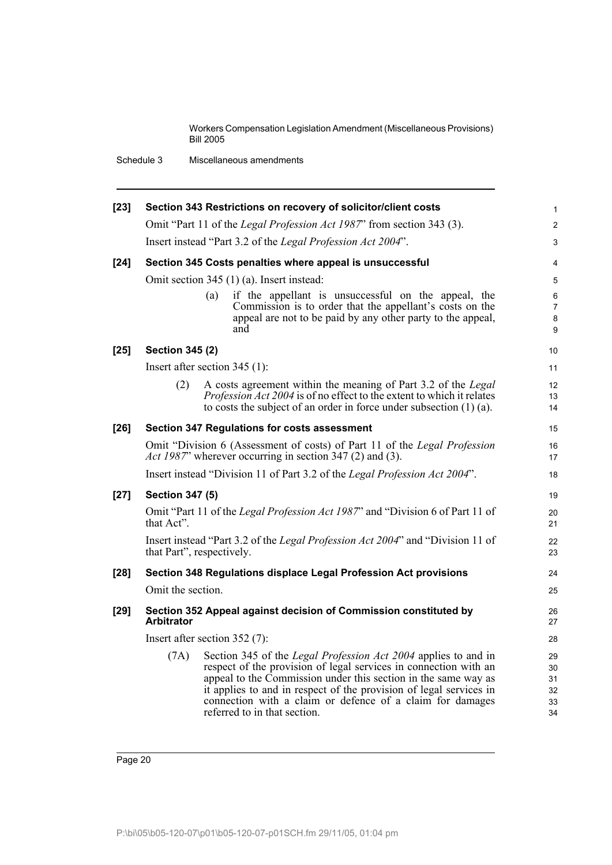Schedule 3 Miscellaneous amendments

| $[23]$ |                        | Section 343 Restrictions on recovery of solicitor/client costs                                                                        | $\mathbf{1}$   |
|--------|------------------------|---------------------------------------------------------------------------------------------------------------------------------------|----------------|
|        |                        | Omit "Part 11 of the <i>Legal Profession Act 1987</i> " from section 343 (3).                                                         | $\overline{2}$ |
|        |                        | Insert instead "Part 3.2 of the Legal Profession Act 2004".                                                                           | $\mathfrak{S}$ |
| $[24]$ |                        | Section 345 Costs penalties where appeal is unsuccessful                                                                              | 4              |
|        |                        | Omit section 345 (1) (a). Insert instead:                                                                                             | 5              |
|        |                        | if the appellant is unsuccessful on the appeal, the<br>(a)                                                                            | 6              |
|        |                        | Commission is to order that the appellant's costs on the<br>appeal are not to be paid by any other party to the appeal,               | 7<br>8         |
|        |                        | and                                                                                                                                   | 9              |
| $[25]$ | <b>Section 345 (2)</b> |                                                                                                                                       | 10             |
|        |                        | Insert after section $345$ (1):                                                                                                       | 11             |
|        | (2)                    | A costs agreement within the meaning of Part 3.2 of the Legal                                                                         | 12             |
|        |                        | Profession Act 2004 is of no effect to the extent to which it relates                                                                 | 13<br>14       |
|        |                        | to costs the subject of an order in force under subsection $(1)$ (a).                                                                 |                |
| $[26]$ |                        | <b>Section 347 Regulations for costs assessment</b>                                                                                   | 15             |
|        |                        | Omit "Division 6 (Assessment of costs) of Part 11 of the Legal Profession<br>Act 1987" wherever occurring in section 347 (2) and (3). | 16<br>17       |
|        |                        | Insert instead "Division 11 of Part 3.2 of the Legal Profession Act 2004".                                                            | 18             |
| $[27]$ | <b>Section 347 (5)</b> |                                                                                                                                       | 19             |
|        | that Act".             | Omit "Part 11 of the Legal Profession Act 1987" and "Division 6 of Part 11 of                                                         | 20<br>21       |
|        |                        | Insert instead "Part 3.2 of the <i>Legal Profession Act 2004</i> " and "Division 11 of<br>that Part", respectively.                   | 22<br>23       |
| $[28]$ |                        | Section 348 Regulations displace Legal Profession Act provisions                                                                      | 24             |
|        | Omit the section.      |                                                                                                                                       | 25             |
| $[29]$ | <b>Arbitrator</b>      | Section 352 Appeal against decision of Commission constituted by                                                                      | 26<br>27       |
|        |                        | Insert after section $352(7)$ :                                                                                                       | 28             |
|        |                        | (7A) Section 345 of the Legal Profession Act 2004 applies to and in                                                                   | 29             |
|        |                        | respect of the provision of legal services in connection with an                                                                      | 30             |
|        |                        | appeal to the Commission under this section in the same way as<br>it applies to and in respect of the provision of legal services in  | 31<br>32       |
|        |                        | connection with a claim or defence of a claim for damages                                                                             | 33             |
|        |                        | referred to in that section.                                                                                                          | 34             |
|        |                        |                                                                                                                                       |                |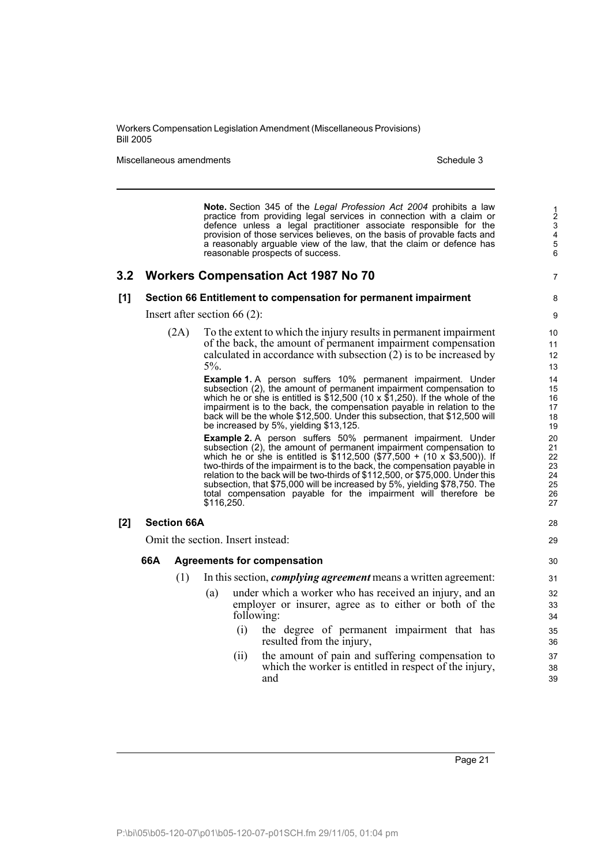Miscellaneous amendments **Schedule 3** and the set of the set of the set of the set of the set of the set of the set of the set of the set of the set of the set of the set of the set of the set of the set of the set of the

7

**Note.** Section 345 of the *Legal Profession Act 2004* prohibits a law practice from providing legal services in connection with a claim or defence unless a legal practitioner associate responsible for the provision of those services believes, on the basis of provable facts and a reasonably arguable view of the law, that the claim or defence has reasonable prospects of success.

## **3.2 Workers Compensation Act 1987 No 70**

### **[1] Section 66 Entitlement to compensation for permanent impairment**

Insert after section 66 (2):

(2A) To the extent to which the injury results in permanent impairment of the back, the amount of permanent impairment compensation calculated in accordance with subsection  $(2)$  is to be increased by 5%.

> **Example 1.** A person suffers 10% permanent impairment. Under subsection (2), the amount of permanent impairment compensation to which he or she is entitled is  $$12,500$  (10 x  $$1,250$ ). If the whole of the impairment is to the back, the compensation payable in relation to the back will be the whole \$12,500. Under this subsection, that \$12,500 will be increased by 5%, yielding \$13,125.

> **Example 2.** A person suffers 50% permanent impairment. Under subsection (2), the amount of permanent impairment compensation to which he or she is entitled is  $$112,500$  (\$77,500 + (10 x \$3,500)). If two-thirds of the impairment is to the back, the compensation payable in relation to the back will be two-thirds of \$112,500, or \$75,000. Under this subsection, that \$75,000 will be increased by 5%, yielding \$78,750. The total compensation payable for the impairment will therefore be \$116,250.

### **[2] Section 66A**

Omit the section. Insert instead:

### **66A Agreements for compensation**

(1) In this section, *complying agreement* means a written agreement:

- (a) under which a worker who has received an injury, and an employer or insurer, agree as to either or both of the following:
	- (i) the degree of permanent impairment that has resulted from the injury,
	- (ii) the amount of pain and suffering compensation to which the worker is entitled in respect of the injury, and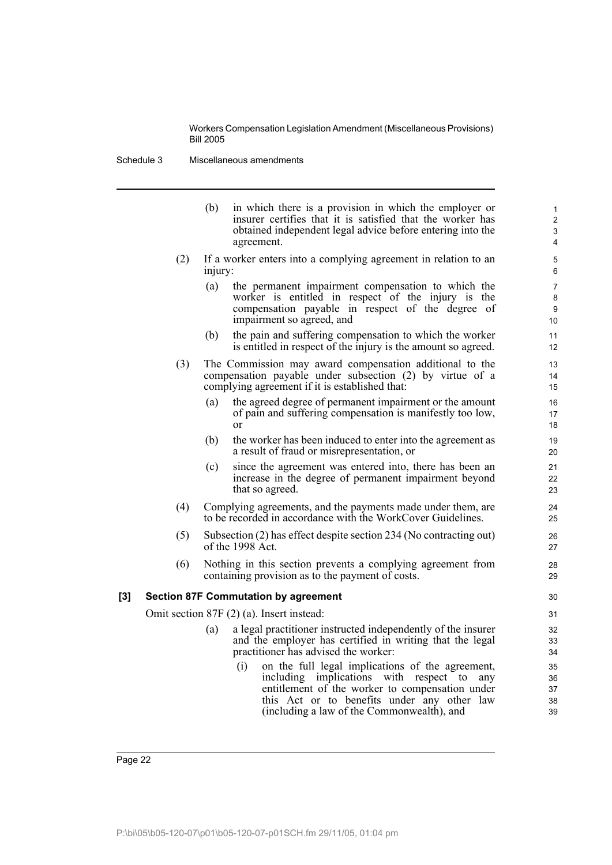Schedule 3 Miscellaneous amendments

(b) in which there is a provision in which the employer or insurer certifies that it is satisfied that the worker has obtained independent legal advice before entering into the agreement.

- (2) If a worker enters into a complying agreement in relation to an injury:
	- (a) the permanent impairment compensation to which the worker is entitled in respect of the injury is the compensation payable in respect of the degree of impairment so agreed, and
	- (b) the pain and suffering compensation to which the worker is entitled in respect of the injury is the amount so agreed.
- (3) The Commission may award compensation additional to the compensation payable under subsection (2) by virtue of a complying agreement if it is established that:
	- (a) the agreed degree of permanent impairment or the amount of pain and suffering compensation is manifestly too low, or
	- (b) the worker has been induced to enter into the agreement as a result of fraud or misrepresentation, or
	- (c) since the agreement was entered into, there has been an increase in the degree of permanent impairment beyond that so agreed.
- (4) Complying agreements, and the payments made under them, are to be recorded in accordance with the WorkCover Guidelines.
- (5) Subsection (2) has effect despite section 234 (No contracting out) of the 1998 Act.
- (6) Nothing in this section prevents a complying agreement from containing provision as to the payment of costs.

### **[3] Section 87F Commutation by agreement**

Omit section 87F (2) (a). Insert instead:

- (a) a legal practitioner instructed independently of the insurer and the employer has certified in writing that the legal practitioner has advised the worker:
	- (i) on the full legal implications of the agreement, including implications with respect to any entitlement of the worker to compensation under this Act or to benefits under any other law (including a law of the Commonwealth), and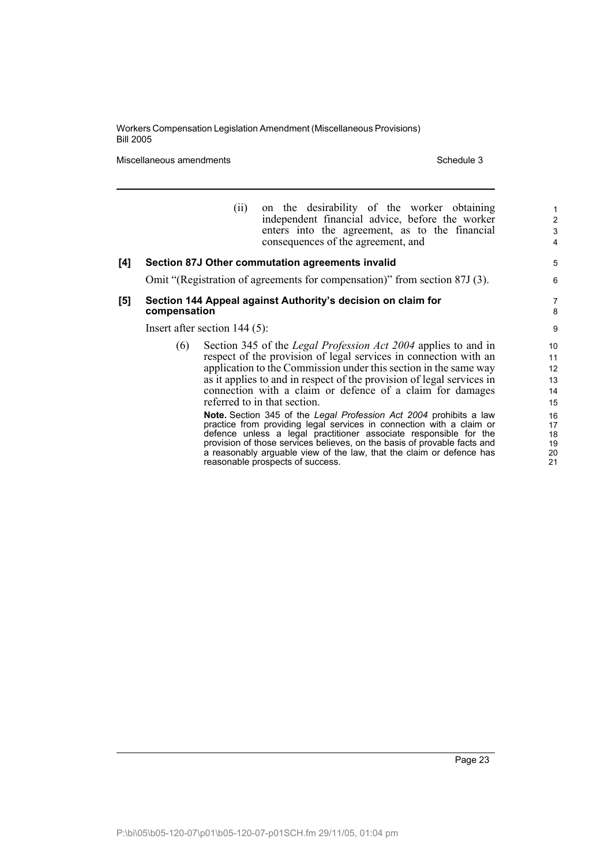reasonable prospects of success.

Miscellaneous amendments **Schedule 3** Schedule 3

|     |              | (11)                            | on the desirability of the worker obtaining<br>independent financial advice, before the worker<br>enters into the agreement, as to the financial<br>consequences of the agreement, and                                                                                                                                                                                              | $\mathbf{1}$<br>$\overline{2}$<br>3<br>$\overline{4}$ |
|-----|--------------|---------------------------------|-------------------------------------------------------------------------------------------------------------------------------------------------------------------------------------------------------------------------------------------------------------------------------------------------------------------------------------------------------------------------------------|-------------------------------------------------------|
| [4] |              |                                 | Section 87J Other commutation agreements invalid                                                                                                                                                                                                                                                                                                                                    | 5                                                     |
|     |              |                                 | Omit "(Registration of agreements for compensation)" from section 87J (3).                                                                                                                                                                                                                                                                                                          | 6                                                     |
| [5] | compensation |                                 | Section 144 Appeal against Authority's decision on claim for                                                                                                                                                                                                                                                                                                                        | 7<br>8                                                |
|     |              | Insert after section $144(5)$ : |                                                                                                                                                                                                                                                                                                                                                                                     | 9                                                     |
|     | (6)          |                                 | Section 345 of the <i>Legal Profession Act 2004</i> applies to and in<br>respect of the provision of legal services in connection with an<br>application to the Commission under this section in the same way<br>as it applies to and in respect of the provision of legal services in<br>connection with a claim or defence of a claim for damages<br>referred to in that section. | 10<br>11<br>12<br>13<br>14<br>15                      |
|     |              |                                 | <b>Note.</b> Section 345 of the Legal Profession Act 2004 prohibits a law<br>practice from providing legal services in connection with a claim or<br>defence unless a legal practitioner associate responsible for the<br>provision of those services believes, on the basis of provable facts and                                                                                  | 16<br>17<br>18<br>19                                  |

a reasonably arguable view of the law, that the claim or defence has

20 21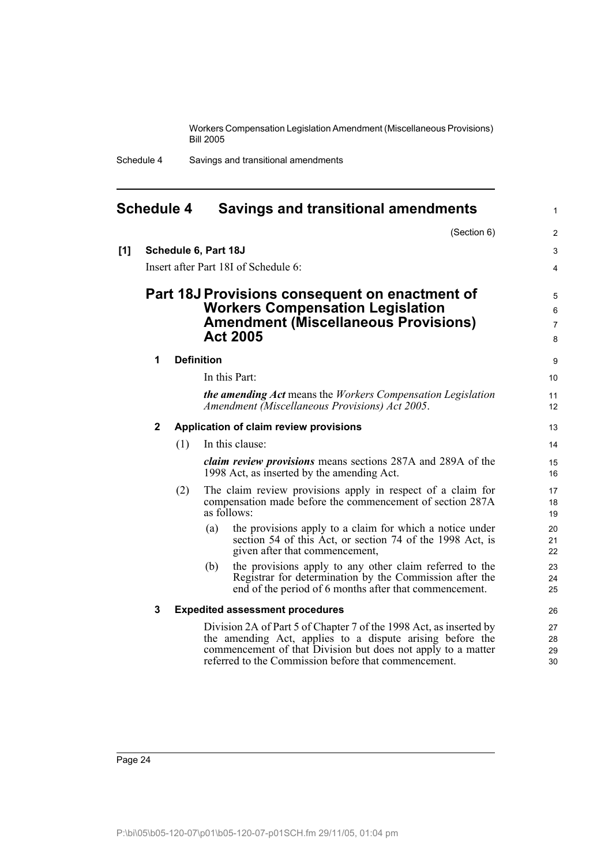1

Schedule 4 Savings and transitional amendments

# <span id="page-37-0"></span>**Schedule 4 Savings and transitional amendments**

|              |                      |     | (Section 6)                                                                                                                                                                                                                                             | $\overline{2}$       |
|--------------|----------------------|-----|---------------------------------------------------------------------------------------------------------------------------------------------------------------------------------------------------------------------------------------------------------|----------------------|
|              | Schedule 6, Part 18J |     |                                                                                                                                                                                                                                                         | 3                    |
|              |                      |     | Insert after Part 18I of Schedule 6:                                                                                                                                                                                                                    | 4                    |
|              |                      |     | Part 18J Provisions consequent on enactment of                                                                                                                                                                                                          | 5                    |
|              |                      |     | <b>Workers Compensation Legislation</b>                                                                                                                                                                                                                 | 6                    |
|              |                      |     | <b>Amendment (Miscellaneous Provisions)</b><br><b>Act 2005</b>                                                                                                                                                                                          | $\overline{7}$       |
|              |                      |     |                                                                                                                                                                                                                                                         | 8                    |
| 1            | <b>Definition</b>    |     |                                                                                                                                                                                                                                                         | 9                    |
|              |                      |     | In this Part:                                                                                                                                                                                                                                           | 10                   |
|              |                      |     | <b>the amending Act</b> means the Workers Compensation Legislation<br>Amendment (Miscellaneous Provisions) Act 2005.                                                                                                                                    | 11<br>12             |
| $\mathbf{2}$ |                      |     | Application of claim review provisions                                                                                                                                                                                                                  | 13                   |
|              | (1)                  |     | In this clause:                                                                                                                                                                                                                                         | 14                   |
|              |                      |     | <i>claim review provisions</i> means sections 287A and 289A of the<br>1998 Act, as inserted by the amending Act.                                                                                                                                        | 15<br>16             |
|              | (2)                  |     | The claim review provisions apply in respect of a claim for<br>compensation made before the commencement of section 287A<br>as follows:                                                                                                                 | 17<br>18<br>19       |
|              |                      | (a) | the provisions apply to a claim for which a notice under<br>section 54 of this Act, or section 74 of the 1998 Act, is<br>given after that commencement,                                                                                                 | 20<br>21<br>22       |
|              |                      | (b) | the provisions apply to any other claim referred to the<br>Registrar for determination by the Commission after the<br>end of the period of 6 months after that commencement.                                                                            | 23<br>24<br>25       |
| 3            |                      |     | <b>Expedited assessment procedures</b>                                                                                                                                                                                                                  | 26                   |
|              |                      |     | Division 2A of Part 5 of Chapter 7 of the 1998 Act, as inserted by<br>the amending Act, applies to a dispute arising before the<br>commencement of that Division but does not apply to a matter<br>referred to the Commission before that commencement. | 27<br>28<br>29<br>30 |
|              |                      |     |                                                                                                                                                                                                                                                         |                      |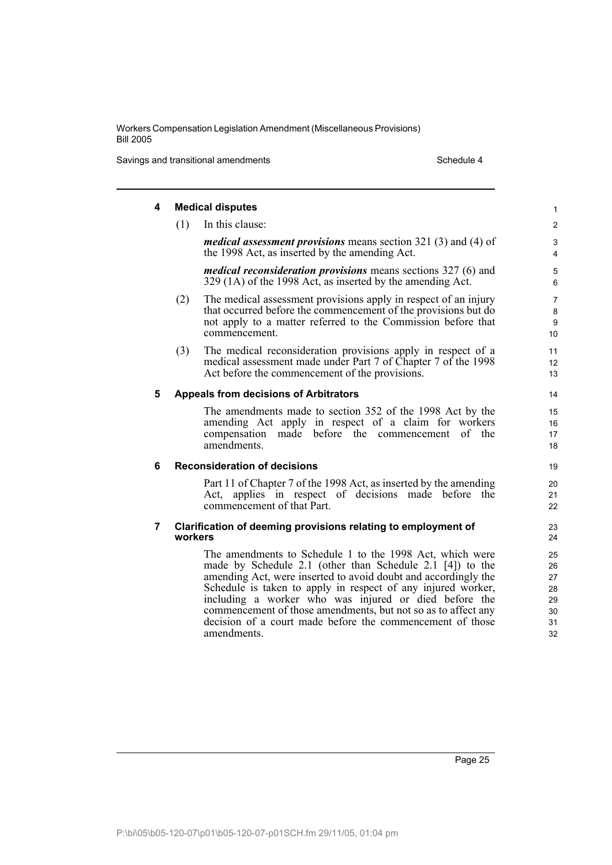Savings and transitional amendments Schedule 4

| 4 |         | <b>Medical disputes</b>                                                                                                                                                                                                                                                                                                                                                                                                                                       | $\mathbf{1}$                                 |
|---|---------|---------------------------------------------------------------------------------------------------------------------------------------------------------------------------------------------------------------------------------------------------------------------------------------------------------------------------------------------------------------------------------------------------------------------------------------------------------------|----------------------------------------------|
|   | (1)     | In this clause:                                                                                                                                                                                                                                                                                                                                                                                                                                               | $\overline{c}$                               |
|   |         | <i>medical assessment provisions</i> means section 321 (3) and (4) of<br>the 1998 Act, as inserted by the amending Act.                                                                                                                                                                                                                                                                                                                                       | 3<br>4                                       |
|   |         | <i>medical reconsideration provisions</i> means sections 327 (6) and<br>329 (1A) of the 1998 Act, as inserted by the amending Act.                                                                                                                                                                                                                                                                                                                            | 5<br>6                                       |
|   | (2)     | The medical assessment provisions apply in respect of an injury<br>that occurred before the commencement of the provisions but do<br>not apply to a matter referred to the Commission before that<br>commencement.                                                                                                                                                                                                                                            | 7<br>8<br>9<br>10                            |
|   | (3)     | The medical reconsideration provisions apply in respect of a<br>medical assessment made under Part 7 of Chapter 7 of the 1998<br>Act before the commencement of the provisions.                                                                                                                                                                                                                                                                               | 11<br>12<br>13                               |
| 5 |         | <b>Appeals from decisions of Arbitrators</b>                                                                                                                                                                                                                                                                                                                                                                                                                  | 14                                           |
|   |         | The amendments made to section 352 of the 1998 Act by the<br>amending Act apply in respect of a claim for workers<br>compensation made before the commencement<br>of the<br>amendments.                                                                                                                                                                                                                                                                       | 15<br>16<br>17<br>18                         |
| 6 |         | <b>Reconsideration of decisions</b>                                                                                                                                                                                                                                                                                                                                                                                                                           | 19                                           |
|   |         | Part 11 of Chapter 7 of the 1998 Act, as inserted by the amending<br>applies in respect of decisions made before the<br>Act,<br>commencement of that Part.                                                                                                                                                                                                                                                                                                    | 20<br>21<br>22                               |
| 7 | workers | Clarification of deeming provisions relating to employment of                                                                                                                                                                                                                                                                                                                                                                                                 | 23<br>24                                     |
|   |         | The amendments to Schedule 1 to the 1998 Act, which were<br>made by Schedule 2.1 (other than Schedule 2.1 [4]) to the<br>amending Act, were inserted to avoid doubt and accordingly the<br>Schedule is taken to apply in respect of any injured worker,<br>including a worker who was injured or died before the<br>commencement of those amendments, but not so as to affect any<br>decision of a court made before the commencement of those<br>amendments. | 25<br>26<br>27<br>28<br>29<br>30<br>31<br>32 |
|   |         |                                                                                                                                                                                                                                                                                                                                                                                                                                                               |                                              |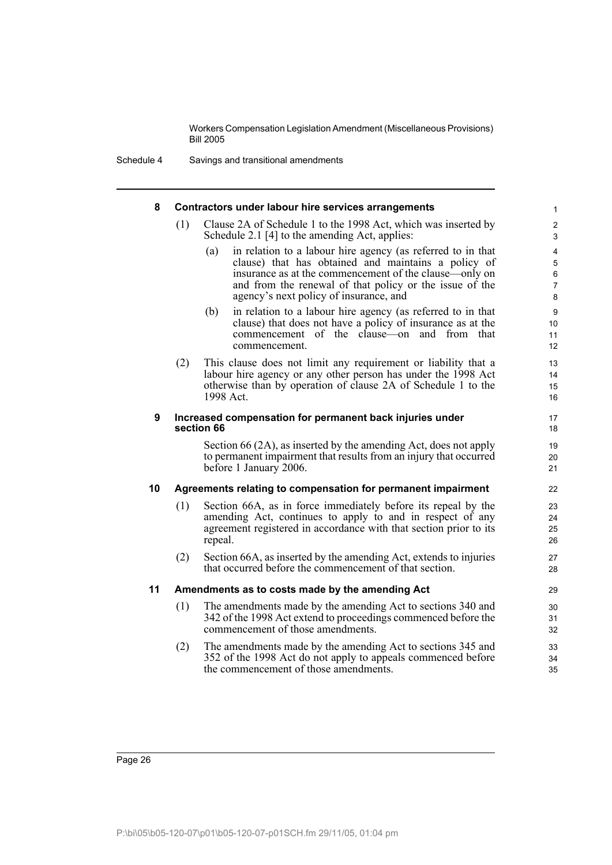Schedule 4 Savings and transitional amendments

#### **8 Contractors under labour hire services arrangements**

- (1) Clause 2A of Schedule 1 to the 1998 Act, which was inserted by Schedule 2.1 [4] to the amending Act, applies:
	- (a) in relation to a labour hire agency (as referred to in that clause) that has obtained and maintains a policy of insurance as at the commencement of the clause—only on and from the renewal of that policy or the issue of the agency's next policy of insurance, and

- (b) in relation to a labour hire agency (as referred to in that clause) that does not have a policy of insurance as at the commencement of the clause—on and from that commencement.
- (2) This clause does not limit any requirement or liability that a labour hire agency or any other person has under the 1998 Act otherwise than by operation of clause 2A of Schedule 1 to the 1998 Act.

### **9 Increased compensation for permanent back injuries under section 66**

Section 66 (2A), as inserted by the amending Act, does not apply to permanent impairment that results from an injury that occurred before 1 January 2006.

### **10 Agreements relating to compensation for permanent impairment**

- (1) Section 66A, as in force immediately before its repeal by the amending Act, continues to apply to and in respect of any agreement registered in accordance with that section prior to its repeal.
- (2) Section 66A, as inserted by the amending Act, extends to injuries that occurred before the commencement of that section.

#### **11 Amendments as to costs made by the amending Act**

- (1) The amendments made by the amending Act to sections 340 and 342 of the 1998 Act extend to proceedings commenced before the commencement of those amendments.
- (2) The amendments made by the amending Act to sections 345 and 352 of the 1998 Act do not apply to appeals commenced before the commencement of those amendments.